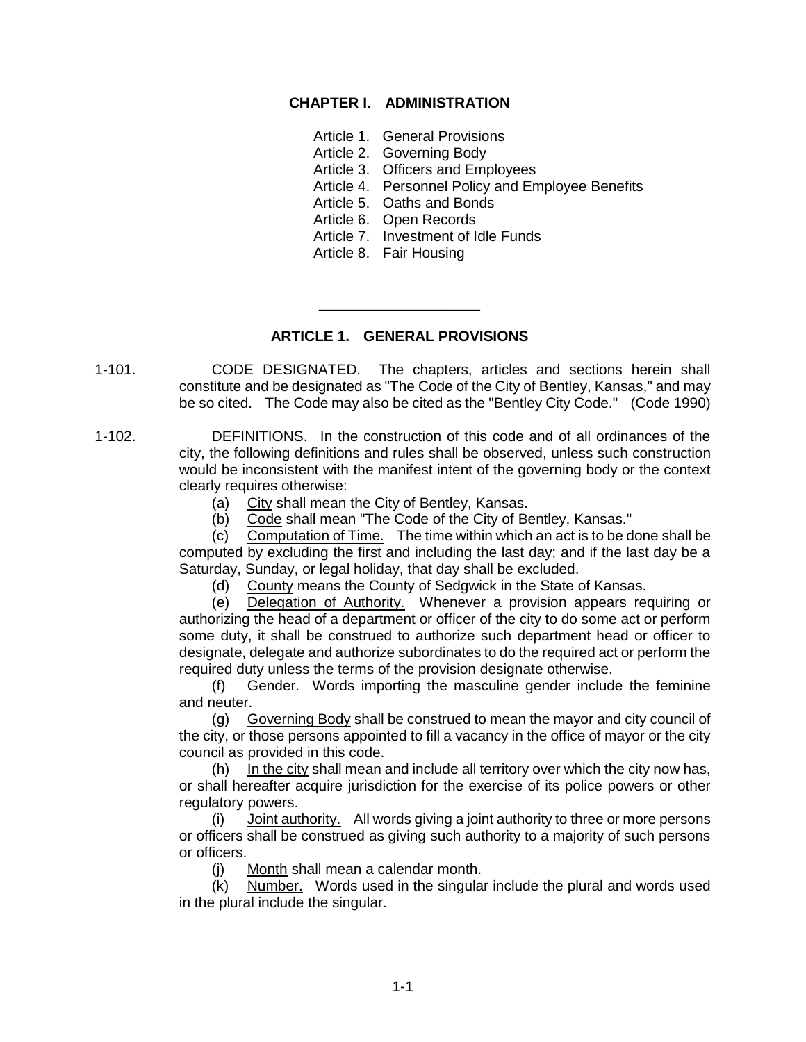# **CHAPTER I. ADMINISTRATION**

- Article 1. General Provisions
- Article 2. Governing Body
- Article 3. Officers and Employees
- Article 4. Personnel Policy and Employee Benefits
- Article 5. Oaths and Bonds
- Article 6. Open Records
- Article 7. Investment of Idle Funds
- Article 8. Fair Housing

# **ARTICLE 1. GENERAL PROVISIONS**

\_\_\_\_\_\_\_\_\_\_\_\_\_\_\_\_\_\_\_\_

- 1-101. CODE DESIGNATED. The chapters, articles and sections herein shall constitute and be designated as "The Code of the City of Bentley, Kansas," and may be so cited. The Code may also be cited as the "Bentley City Code." (Code 1990)
- 1-102. DEFINITIONS. In the construction of this code and of all ordinances of the city, the following definitions and rules shall be observed, unless such construction would be inconsistent with the manifest intent of the governing body or the context clearly requires otherwise:
	- (a) City shall mean the City of Bentley, Kansas.
	- (b) Code shall mean "The Code of the City of Bentley, Kansas."

(c) Computation of Time. The time within which an act is to be done shall be computed by excluding the first and including the last day; and if the last day be a Saturday, Sunday, or legal holiday, that day shall be excluded.

(d) County means the County of Sedgwick in the State of Kansas.

(e) Delegation of Authority. Whenever a provision appears requiring or authorizing the head of a department or officer of the city to do some act or perform some duty, it shall be construed to authorize such department head or officer to designate, delegate and authorize subordinates to do the required act or perform the required duty unless the terms of the provision designate otherwise.

(f) Gender. Words importing the masculine gender include the feminine and neuter.

(g) Governing Body shall be construed to mean the mayor and city council of the city, or those persons appointed to fill a vacancy in the office of mayor or the city council as provided in this code.

(h) In the city shall mean and include all territory over which the city now has, or shall hereafter acquire jurisdiction for the exercise of its police powers or other regulatory powers.

(i) Joint authority. All words giving a joint authority to three or more persons or officers shall be construed as giving such authority to a majority of such persons or officers.

(j) Month shall mean a calendar month.

(k) Number. Words used in the singular include the plural and words used in the plural include the singular.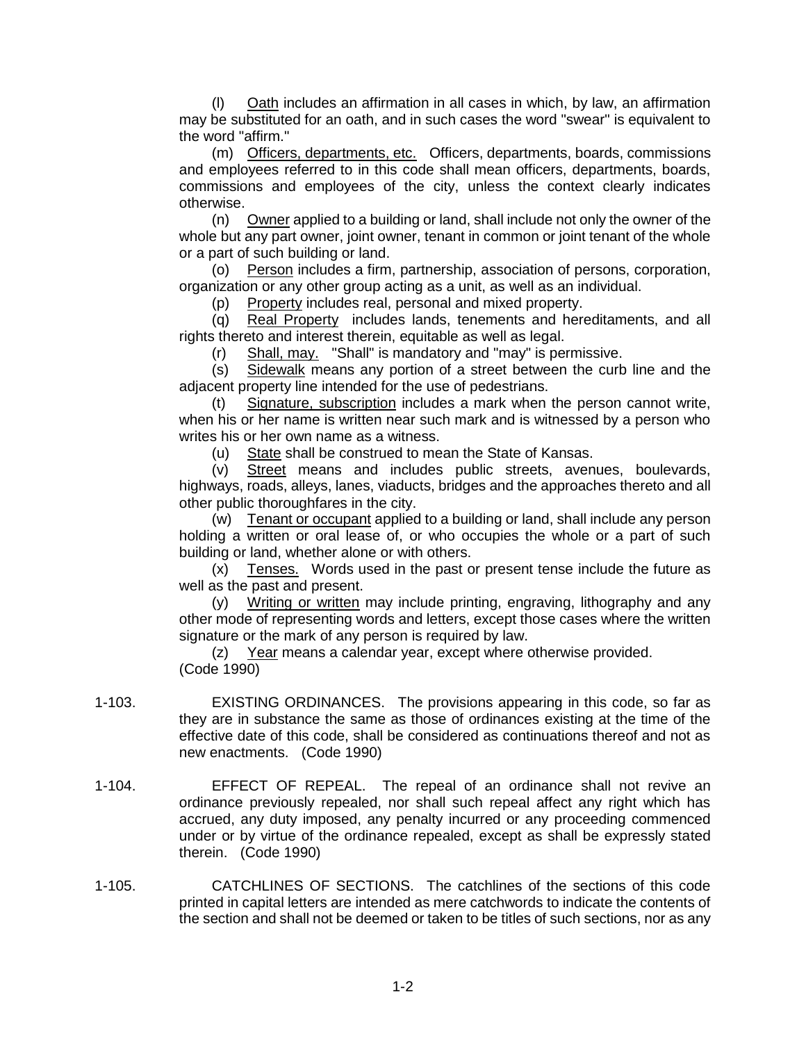(l) Oath includes an affirmation in all cases in which, by law, an affirmation may be substituted for an oath, and in such cases the word "swear" is equivalent to the word "affirm."

(m) Officers, departments, etc. Officers, departments, boards, commissions and employees referred to in this code shall mean officers, departments, boards, commissions and employees of the city, unless the context clearly indicates otherwise.

(n) Owner applied to a building or land, shall include not only the owner of the whole but any part owner, joint owner, tenant in common or joint tenant of the whole or a part of such building or land.

(o) Person includes a firm, partnership, association of persons, corporation, organization or any other group acting as a unit, as well as an individual.

(p) Property includes real, personal and mixed property.

(q) Real Property includes lands, tenements and hereditaments, and all rights thereto and interest therein, equitable as well as legal.

(r) Shall, may. "Shall" is mandatory and "may" is permissive.

(s) Sidewalk means any portion of a street between the curb line and the adjacent property line intended for the use of pedestrians.

(t) Signature, subscription includes a mark when the person cannot write, when his or her name is written near such mark and is witnessed by a person who writes his or her own name as a witness.

(u) State shall be construed to mean the State of Kansas.

(v) Street means and includes public streets, avenues, boulevards, highways, roads, alleys, lanes, viaducts, bridges and the approaches thereto and all other public thoroughfares in the city.

(w) Tenant or occupant applied to a building or land, shall include any person holding a written or oral lease of, or who occupies the whole or a part of such building or land, whether alone or with others.

(x) Tenses. Words used in the past or present tense include the future as well as the past and present.

(y) Writing or written may include printing, engraving, lithography and any other mode of representing words and letters, except those cases where the written signature or the mark of any person is required by law.

(z) Year means a calendar year, except where otherwise provided. (Code 1990)

- 1-103. EXISTING ORDINANCES. The provisions appearing in this code, so far as they are in substance the same as those of ordinances existing at the time of the effective date of this code, shall be considered as continuations thereof and not as new enactments. (Code 1990)
- 1-104. EFFECT OF REPEAL. The repeal of an ordinance shall not revive an ordinance previously repealed, nor shall such repeal affect any right which has accrued, any duty imposed, any penalty incurred or any proceeding commenced under or by virtue of the ordinance repealed, except as shall be expressly stated therein. (Code 1990)
- 1-105. CATCHLINES OF SECTIONS. The catchlines of the sections of this code printed in capital letters are intended as mere catchwords to indicate the contents of the section and shall not be deemed or taken to be titles of such sections, nor as any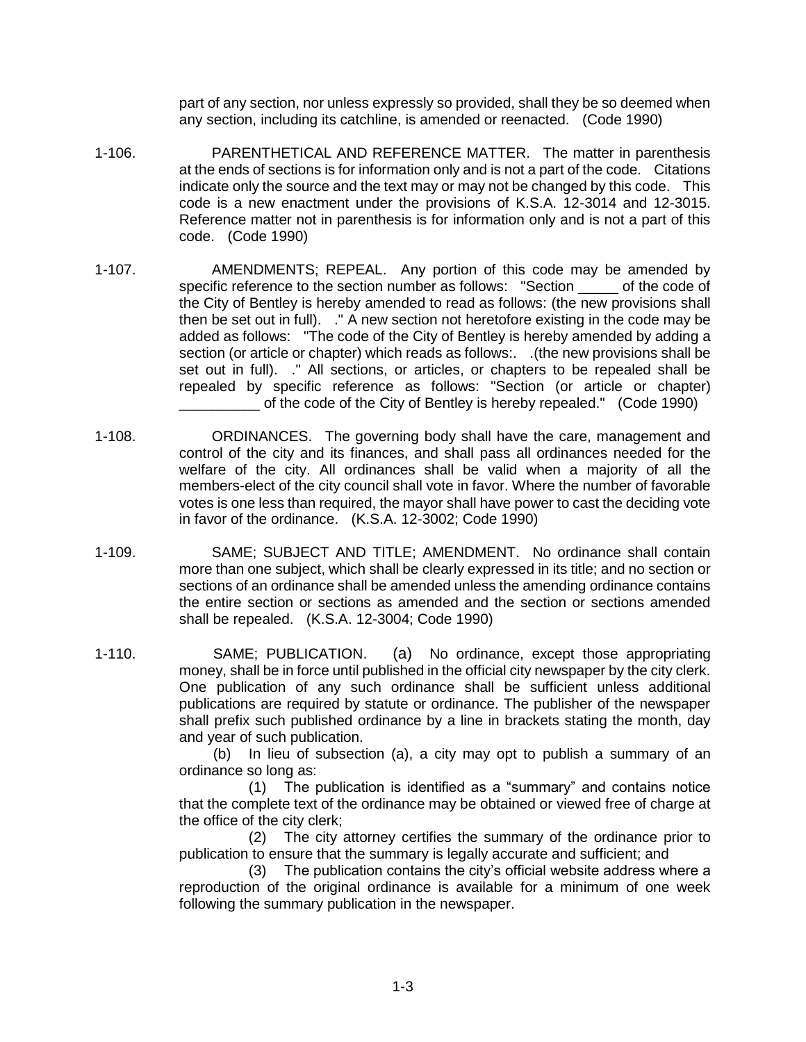part of any section, nor unless expressly so provided, shall they be so deemed when any section, including its catchline, is amended or reenacted. (Code 1990)

- 1-106. PARENTHETICAL AND REFERENCE MATTER. The matter in parenthesis at the ends of sections is for information only and is not a part of the code. Citations indicate only the source and the text may or may not be changed by this code. This code is a new enactment under the provisions of K.S.A. 12-3014 and 12-3015. Reference matter not in parenthesis is for information only and is not a part of this code. (Code 1990)
- 1-107. AMENDMENTS; REPEAL. Any portion of this code may be amended by specific reference to the section number as follows: "Section \_\_\_\_\_ of the code of the City of Bentley is hereby amended to read as follows: (the new provisions shall then be set out in full). ." A new section not heretofore existing in the code may be added as follows: "The code of the City of Bentley is hereby amended by adding a section (or article or chapter) which reads as follows:. .(the new provisions shall be set out in full). ." All sections, or articles, or chapters to be repealed shall be repealed by specific reference as follows: "Section (or article or chapter) \_\_\_\_\_\_\_\_\_\_ of the code of the City of Bentley is hereby repealed." (Code 1990)
- 1-108. ORDINANCES. The governing body shall have the care, management and control of the city and its finances, and shall pass all ordinances needed for the welfare of the city. All ordinances shall be valid when a majority of all the members-elect of the city council shall vote in favor. Where the number of favorable votes is one less than required, the mayor shall have power to cast the deciding vote in favor of the ordinance. (K.S.A. 12-3002; Code 1990)
- 1-109. SAME; SUBJECT AND TITLE; AMENDMENT. No ordinance shall contain more than one subject, which shall be clearly expressed in its title; and no section or sections of an ordinance shall be amended unless the amending ordinance contains the entire section or sections as amended and the section or sections amended shall be repealed. (K.S.A. 12-3004; Code 1990)
- 1-110. SAME; PUBLICATION. (a) No ordinance, except those appropriating money, shall be in force until published in the official city newspaper by the city clerk. One publication of any such ordinance shall be sufficient unless additional publications are required by statute or ordinance. The publisher of the newspaper shall prefix such published ordinance by a line in brackets stating the month, day and year of such publication.

(b) In lieu of subsection (a), a city may opt to publish a summary of an ordinance so long as:

(1) The publication is identified as a "summary" and contains notice that the complete text of the ordinance may be obtained or viewed free of charge at the office of the city clerk;

(2) The city attorney certifies the summary of the ordinance prior to publication to ensure that the summary is legally accurate and sufficient; and

(3) The publication contains the city's official website address where a reproduction of the original ordinance is available for a minimum of one week following the summary publication in the newspaper.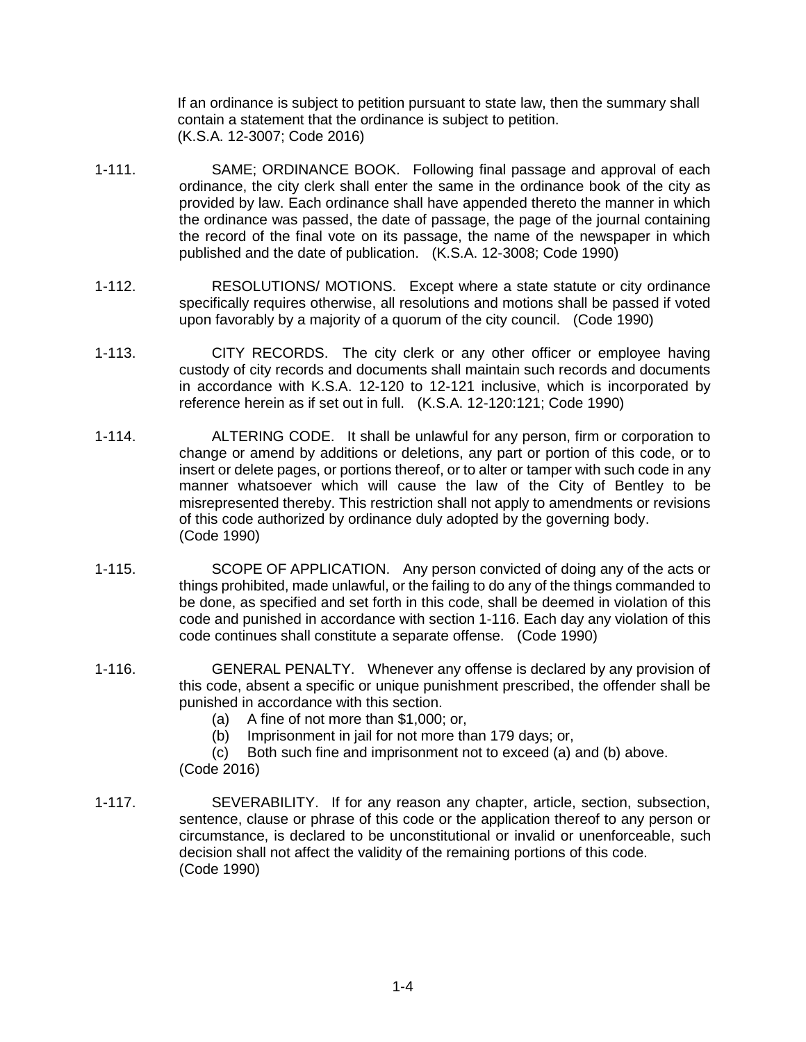If an ordinance is subject to petition pursuant to state law, then the summary shall contain a statement that the ordinance is subject to petition. (K.S.A. 12-3007; Code 2016)

- 1-111. SAME; ORDINANCE BOOK. Following final passage and approval of each ordinance, the city clerk shall enter the same in the ordinance book of the city as provided by law. Each ordinance shall have appended thereto the manner in which the ordinance was passed, the date of passage, the page of the journal containing the record of the final vote on its passage, the name of the newspaper in which published and the date of publication. (K.S.A. 12-3008; Code 1990)
- 1-112. RESOLUTIONS/ MOTIONS. Except where a state statute or city ordinance specifically requires otherwise, all resolutions and motions shall be passed if voted upon favorably by a majority of a quorum of the city council. (Code 1990)
- 1-113. CITY RECORDS. The city clerk or any other officer or employee having custody of city records and documents shall maintain such records and documents in accordance with K.S.A. 12-120 to 12-121 inclusive, which is incorporated by reference herein as if set out in full. (K.S.A. 12-120:121; Code 1990)
- 1-114. ALTERING CODE. It shall be unlawful for any person, firm or corporation to change or amend by additions or deletions, any part or portion of this code, or to insert or delete pages, or portions thereof, or to alter or tamper with such code in any manner whatsoever which will cause the law of the City of Bentley to be misrepresented thereby. This restriction shall not apply to amendments or revisions of this code authorized by ordinance duly adopted by the governing body. (Code 1990)
- 1-115. SCOPE OF APPLICATION. Any person convicted of doing any of the acts or things prohibited, made unlawful, or the failing to do any of the things commanded to be done, as specified and set forth in this code, shall be deemed in violation of this code and punished in accordance with section 1-116. Each day any violation of this code continues shall constitute a separate offense. (Code 1990)
- 1-116. GENERAL PENALTY. Whenever any offense is declared by any provision of this code, absent a specific or unique punishment prescribed, the offender shall be punished in accordance with this section.
	- (a) A fine of not more than \$1,000; or,
	- (b) Imprisonment in jail for not more than 179 days; or,
	- (c) Both such fine and imprisonment not to exceed (a) and (b) above. (Code 2016)
- 1-117. SEVERABILITY. If for any reason any chapter, article, section, subsection, sentence, clause or phrase of this code or the application thereof to any person or circumstance, is declared to be unconstitutional or invalid or unenforceable, such decision shall not affect the validity of the remaining portions of this code. (Code 1990)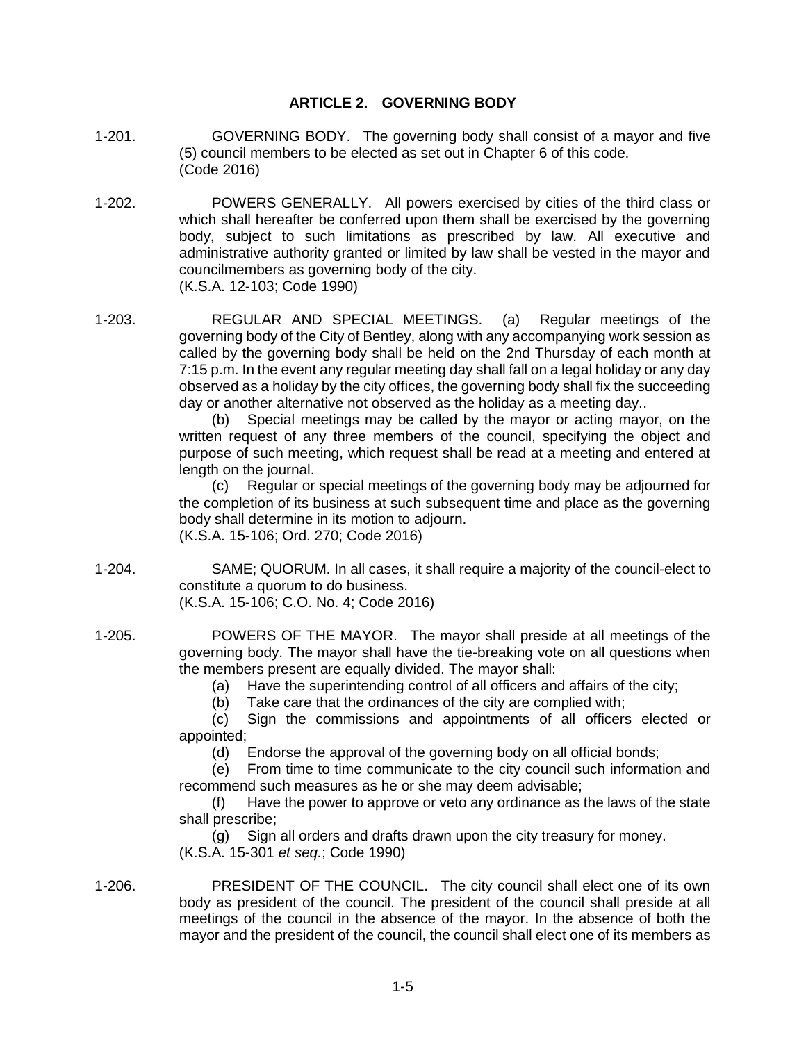# **ARTICLE 2. GOVERNING BODY**

- 1-201. GOVERNING BODY. The governing body shall consist of a mayor and five (5) council members to be elected as set out in Chapter 6 of this code. (Code 2016)
- 1-202. POWERS GENERALLY. All powers exercised by cities of the third class or which shall hereafter be conferred upon them shall be exercised by the governing body, subject to such limitations as prescribed by law. All executive and administrative authority granted or limited by law shall be vested in the mayor and councilmembers as governing body of the city. (K.S.A. 12-103; Code 1990)
- 1-203. REGULAR AND SPECIAL MEETINGS. (a) Regular meetings of the governing body of the City of Bentley, along with any accompanying work session as called by the governing body shall be held on the 2nd Thursday of each month at 7:15 p.m. In the event any regular meeting day shall fall on a legal holiday or any day observed as a holiday by the city offices, the governing body shall fix the succeeding day or another alternative not observed as the holiday as a meeting day..

(b) Special meetings may be called by the mayor or acting mayor, on the written request of any three members of the council, specifying the object and purpose of such meeting, which request shall be read at a meeting and entered at length on the journal.

(c) Regular or special meetings of the governing body may be adjourned for the completion of its business at such subsequent time and place as the governing body shall determine in its motion to adjourn. (K.S.A. 15-106; Ord. 270; Code 2016)

1-204. SAME; QUORUM. In all cases, it shall require a majority of the council-elect to constitute a quorum to do business. (K.S.A. 15-106; C.O. No. 4; Code 2016)

1-205. POWERS OF THE MAYOR. The mayor shall preside at all meetings of the governing body. The mayor shall have the tie-breaking vote on all questions when the members present are equally divided. The mayor shall:

(a) Have the superintending control of all officers and affairs of the city;

(b) Take care that the ordinances of the city are complied with;

(c) Sign the commissions and appointments of all officers elected or appointed;

(d) Endorse the approval of the governing body on all official bonds;

(e) From time to time communicate to the city council such information and recommend such measures as he or she may deem advisable;

(f) Have the power to approve or veto any ordinance as the laws of the state shall prescribe;

(g) Sign all orders and drafts drawn upon the city treasury for money. (K.S.A. 15-301 *et seq.*; Code 1990)

1-206. PRESIDENT OF THE COUNCIL. The city council shall elect one of its own body as president of the council. The president of the council shall preside at all meetings of the council in the absence of the mayor. In the absence of both the mayor and the president of the council, the council shall elect one of its members as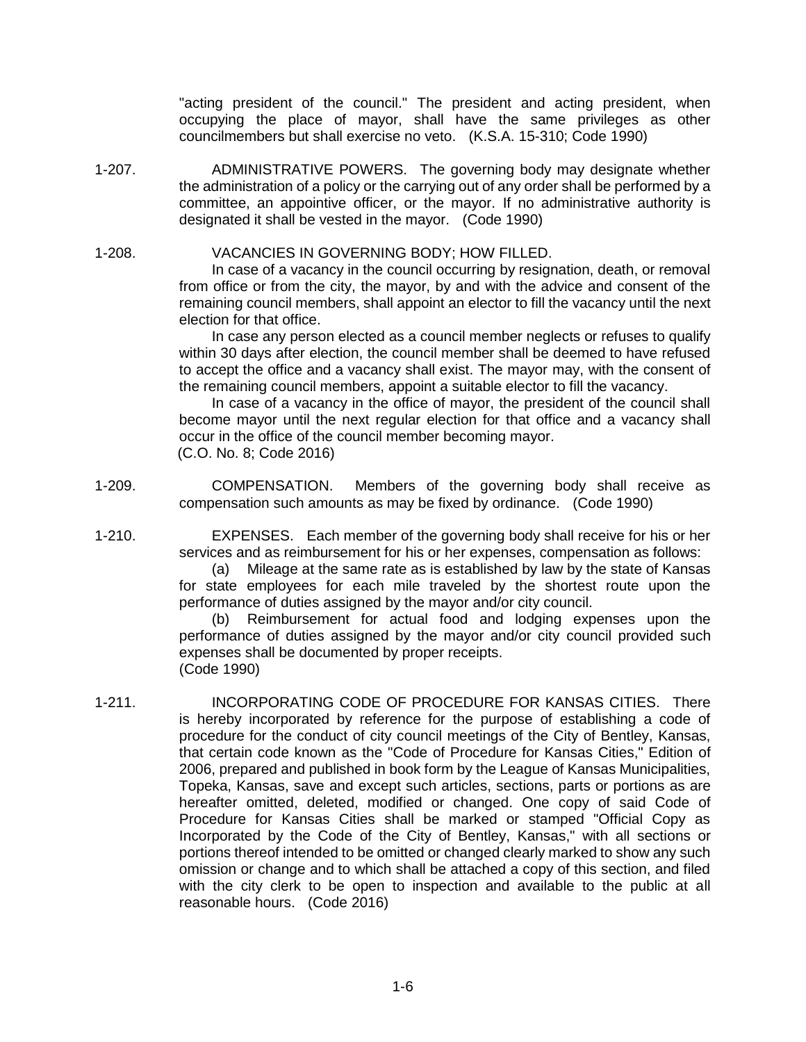"acting president of the council." The president and acting president, when occupying the place of mayor, shall have the same privileges as other councilmembers but shall exercise no veto. (K.S.A. 15-310; Code 1990)

- 1-207. ADMINISTRATIVE POWERS. The governing body may designate whether the administration of a policy or the carrying out of any order shall be performed by a committee, an appointive officer, or the mayor. If no administrative authority is designated it shall be vested in the mayor. (Code 1990)
- 1-208. VACANCIES IN GOVERNING BODY; HOW FILLED. In case of a vacancy in the council occurring by resignation, death, or removal from office or from the city, the mayor, by and with the advice and consent of the remaining council members, shall appoint an elector to fill the vacancy until the next

election for that office.

In case any person elected as a council member neglects or refuses to qualify within 30 days after election, the council member shall be deemed to have refused to accept the office and a vacancy shall exist. The mayor may, with the consent of the remaining council members, appoint a suitable elector to fill the vacancy.

In case of a vacancy in the office of mayor, the president of the council shall become mayor until the next regular election for that office and a vacancy shall occur in the office of the council member becoming mayor. (C.O. No. 8; Code 2016)

- 1-209. COMPENSATION. Members of the governing body shall receive as compensation such amounts as may be fixed by ordinance. (Code 1990)
- 1-210. EXPENSES. Each member of the governing body shall receive for his or her services and as reimbursement for his or her expenses, compensation as follows:

(a) Mileage at the same rate as is established by law by the state of Kansas for state employees for each mile traveled by the shortest route upon the performance of duties assigned by the mayor and/or city council.

(b) Reimbursement for actual food and lodging expenses upon the performance of duties assigned by the mayor and/or city council provided such expenses shall be documented by proper receipts. (Code 1990)

1-211. INCORPORATING CODE OF PROCEDURE FOR KANSAS CITIES. There is hereby incorporated by reference for the purpose of establishing a code of procedure for the conduct of city council meetings of the City of Bentley, Kansas, that certain code known as the "Code of Procedure for Kansas Cities," Edition of 2006, prepared and published in book form by the League of Kansas Municipalities, Topeka, Kansas, save and except such articles, sections, parts or portions as are hereafter omitted, deleted, modified or changed. One copy of said Code of Procedure for Kansas Cities shall be marked or stamped "Official Copy as Incorporated by the Code of the City of Bentley, Kansas," with all sections or portions thereof intended to be omitted or changed clearly marked to show any such omission or change and to which shall be attached a copy of this section, and filed with the city clerk to be open to inspection and available to the public at all reasonable hours. (Code 2016)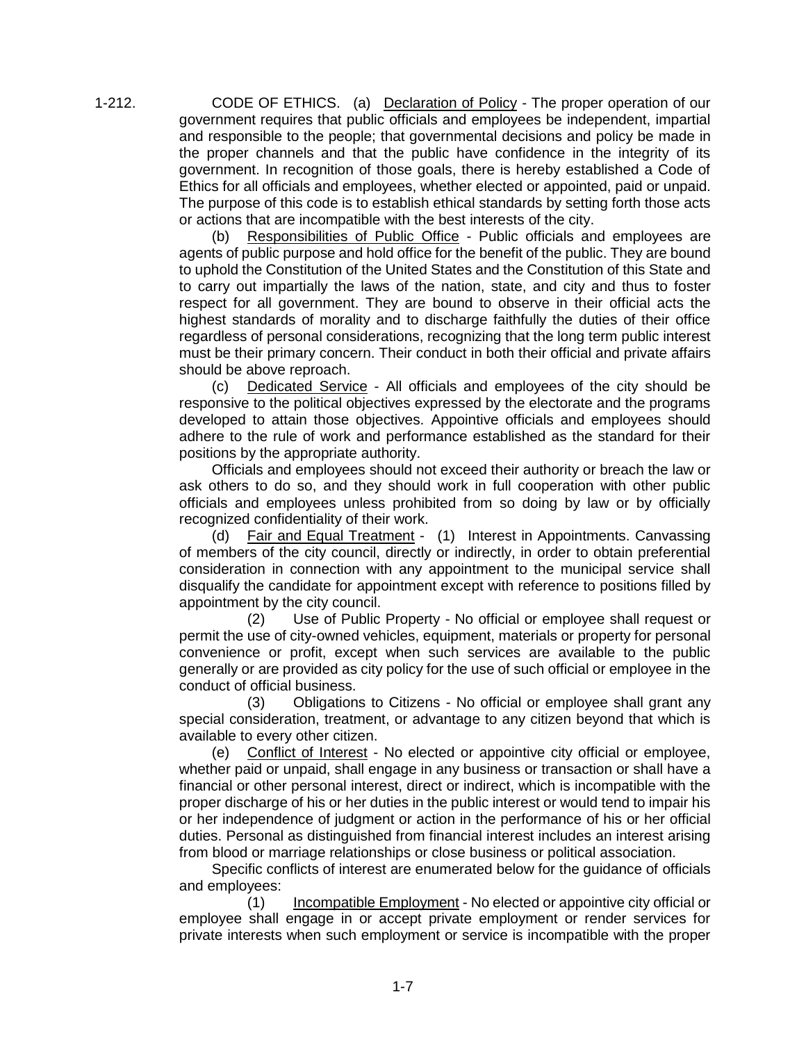1-212. CODE OF ETHICS. (a) Declaration of Policy - The proper operation of our government requires that public officials and employees be independent, impartial and responsible to the people; that governmental decisions and policy be made in the proper channels and that the public have confidence in the integrity of its government. In recognition of those goals, there is hereby established a Code of Ethics for all officials and employees, whether elected or appointed, paid or unpaid. The purpose of this code is to establish ethical standards by setting forth those acts or actions that are incompatible with the best interests of the city.

> (b) Responsibilities of Public Office - Public officials and employees are agents of public purpose and hold office for the benefit of the public. They are bound to uphold the Constitution of the United States and the Constitution of this State and to carry out impartially the laws of the nation, state, and city and thus to foster respect for all government. They are bound to observe in their official acts the highest standards of morality and to discharge faithfully the duties of their office regardless of personal considerations, recognizing that the long term public interest must be their primary concern. Their conduct in both their official and private affairs should be above reproach.

> (c) Dedicated Service - All officials and employees of the city should be responsive to the political objectives expressed by the electorate and the programs developed to attain those objectives. Appointive officials and employees should adhere to the rule of work and performance established as the standard for their positions by the appropriate authority.

> Officials and employees should not exceed their authority or breach the law or ask others to do so, and they should work in full cooperation with other public officials and employees unless prohibited from so doing by law or by officially recognized confidentiality of their work.

> (d) Fair and Equal Treatment - (1) Interest in Appointments. Canvassing of members of the city council, directly or indirectly, in order to obtain preferential consideration in connection with any appointment to the municipal service shall disqualify the candidate for appointment except with reference to positions filled by appointment by the city council.

> (2) Use of Public Property - No official or employee shall request or permit the use of city-owned vehicles, equipment, materials or property for personal convenience or profit, except when such services are available to the public generally or are provided as city policy for the use of such official or employee in the conduct of official business.

> (3) Obligations to Citizens - No official or employee shall grant any special consideration, treatment, or advantage to any citizen beyond that which is available to every other citizen.

> (e) Conflict of Interest - No elected or appointive city official or employee, whether paid or unpaid, shall engage in any business or transaction or shall have a financial or other personal interest, direct or indirect, which is incompatible with the proper discharge of his or her duties in the public interest or would tend to impair his or her independence of judgment or action in the performance of his or her official duties. Personal as distinguished from financial interest includes an interest arising from blood or marriage relationships or close business or political association.

> Specific conflicts of interest are enumerated below for the guidance of officials and employees:

> (1) Incompatible Employment - No elected or appointive city official or employee shall engage in or accept private employment or render services for private interests when such employment or service is incompatible with the proper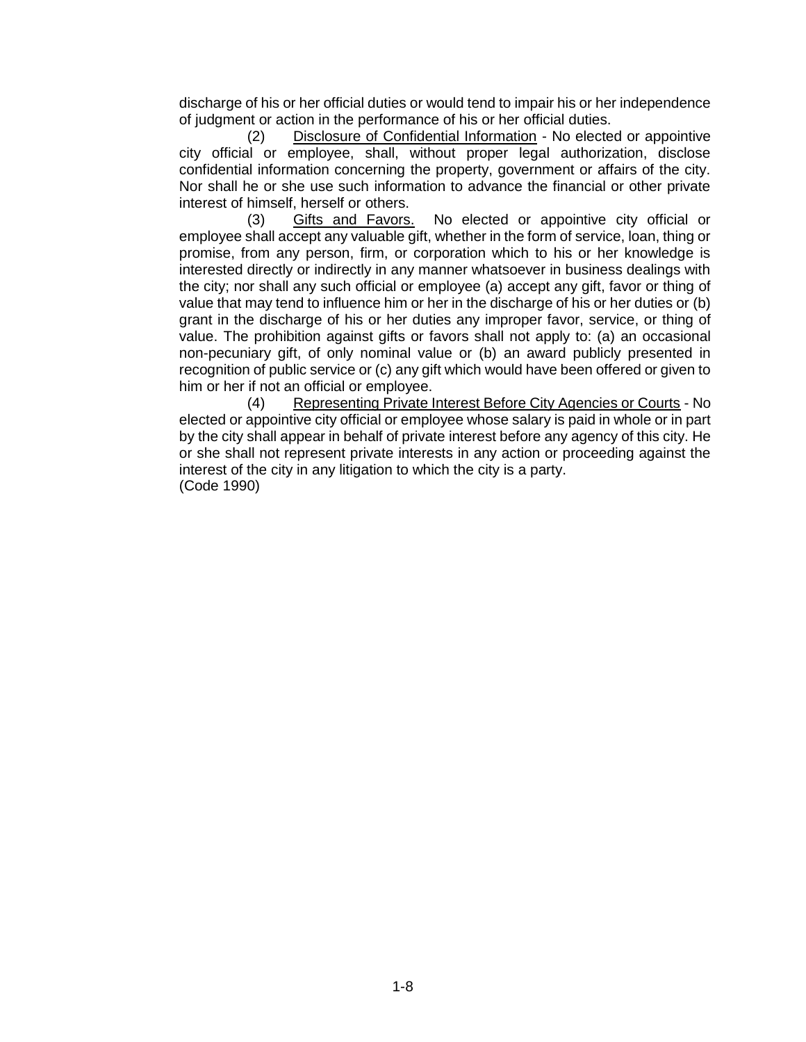discharge of his or her official duties or would tend to impair his or her independence of judgment or action in the performance of his or her official duties.

(2) Disclosure of Confidential Information - No elected or appointive city official or employee, shall, without proper legal authorization, disclose confidential information concerning the property, government or affairs of the city. Nor shall he or she use such information to advance the financial or other private interest of himself, herself or others.

(3) Gifts and Favors. No elected or appointive city official or employee shall accept any valuable gift, whether in the form of service, loan, thing or promise, from any person, firm, or corporation which to his or her knowledge is interested directly or indirectly in any manner whatsoever in business dealings with the city; nor shall any such official or employee (a) accept any gift, favor or thing of value that may tend to influence him or her in the discharge of his or her duties or (b) grant in the discharge of his or her duties any improper favor, service, or thing of value. The prohibition against gifts or favors shall not apply to: (a) an occasional non-pecuniary gift, of only nominal value or (b) an award publicly presented in recognition of public service or (c) any gift which would have been offered or given to him or her if not an official or employee.

(4) Representing Private Interest Before City Agencies or Courts - No elected or appointive city official or employee whose salary is paid in whole or in part by the city shall appear in behalf of private interest before any agency of this city. He or she shall not represent private interests in any action or proceeding against the interest of the city in any litigation to which the city is a party. (Code 1990)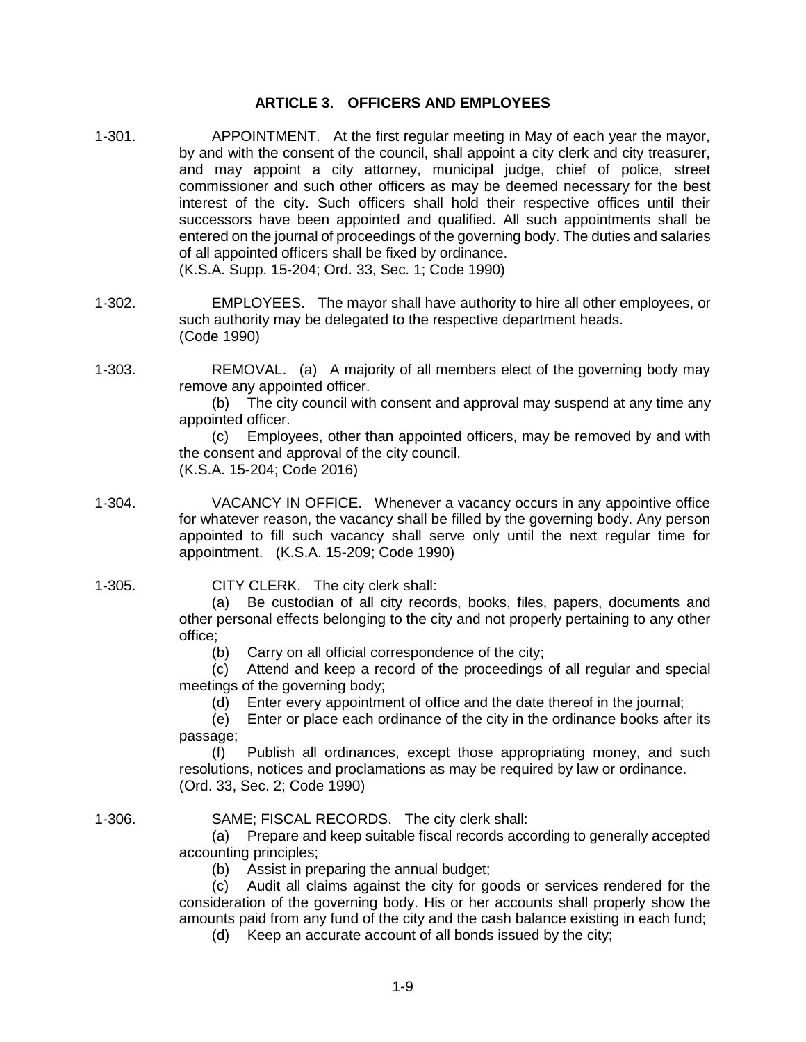#### **ARTICLE 3. OFFICERS AND EMPLOYEES**

- 1-301. APPOINTMENT. At the first regular meeting in May of each year the mayor, by and with the consent of the council, shall appoint a city clerk and city treasurer, and may appoint a city attorney, municipal judge, chief of police, street commissioner and such other officers as may be deemed necessary for the best interest of the city. Such officers shall hold their respective offices until their successors have been appointed and qualified. All such appointments shall be entered on the journal of proceedings of the governing body. The duties and salaries of all appointed officers shall be fixed by ordinance. (K.S.A. Supp. 15-204; Ord. 33, Sec. 1; Code 1990)
- 1-302. EMPLOYEES. The mayor shall have authority to hire all other employees, or such authority may be delegated to the respective department heads. (Code 1990)
- 1-303. REMOVAL. (a) A majority of all members elect of the governing body may remove any appointed officer.

(b) The city council with consent and approval may suspend at any time any appointed officer.

(c) Employees, other than appointed officers, may be removed by and with the consent and approval of the city council. (K.S.A. 15-204; Code 2016)

1-304. VACANCY IN OFFICE. Whenever a vacancy occurs in any appointive office for whatever reason, the vacancy shall be filled by the governing body. Any person appointed to fill such vacancy shall serve only until the next regular time for appointment. (K.S.A. 15-209; Code 1990)

1-305. CITY CLERK. The city clerk shall:

(a) Be custodian of all city records, books, files, papers, documents and other personal effects belonging to the city and not properly pertaining to any other office;

(b) Carry on all official correspondence of the city;

(c) Attend and keep a record of the proceedings of all regular and special meetings of the governing body;

(d) Enter every appointment of office and the date thereof in the journal;

(e) Enter or place each ordinance of the city in the ordinance books after its passage;

(f) Publish all ordinances, except those appropriating money, and such resolutions, notices and proclamations as may be required by law or ordinance. (Ord. 33, Sec. 2; Code 1990)

1-306. SAME; FISCAL RECORDS. The city clerk shall:

(a) Prepare and keep suitable fiscal records according to generally accepted accounting principles;

(b) Assist in preparing the annual budget;

(c) Audit all claims against the city for goods or services rendered for the consideration of the governing body. His or her accounts shall properly show the amounts paid from any fund of the city and the cash balance existing in each fund;

(d) Keep an accurate account of all bonds issued by the city;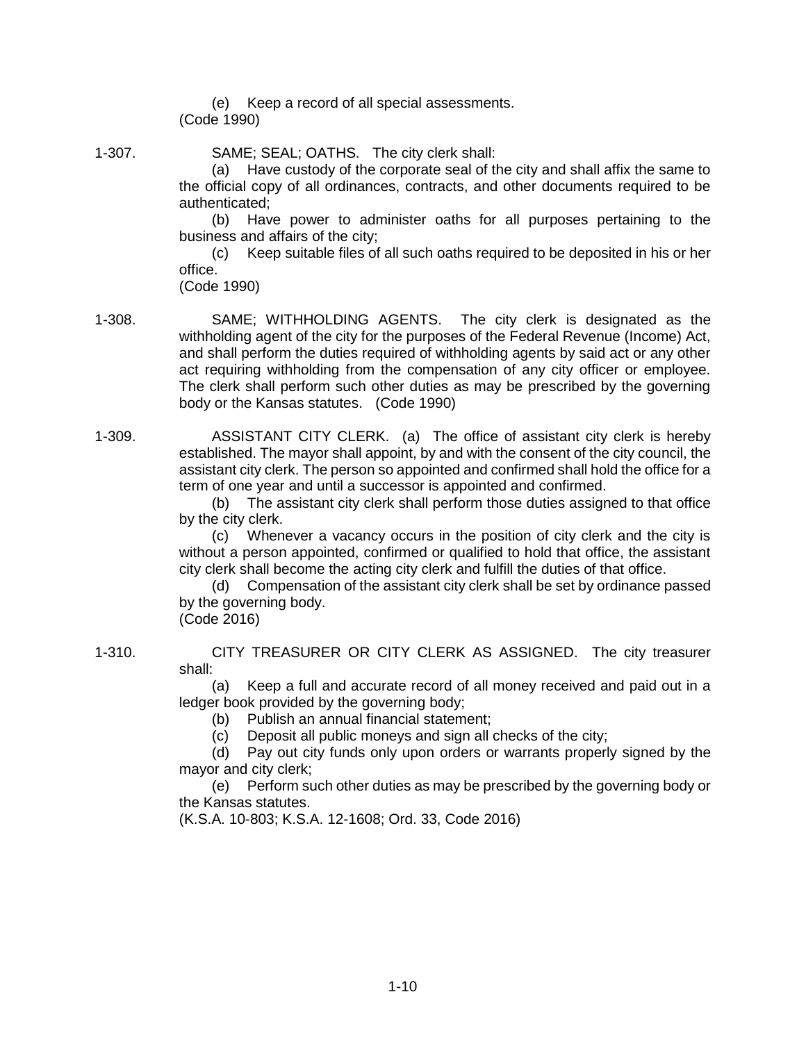(e) Keep a record of all special assessments. (Code 1990)

1-307. SAME; SEAL; OATHS. The city clerk shall:

(a) Have custody of the corporate seal of the city and shall affix the same to the official copy of all ordinances, contracts, and other documents required to be authenticated;

(b) Have power to administer oaths for all purposes pertaining to the business and affairs of the city;

(c) Keep suitable files of all such oaths required to be deposited in his or her office.

(Code 1990)

1-308. SAME; WITHHOLDING AGENTS. The city clerk is designated as the withholding agent of the city for the purposes of the Federal Revenue (Income) Act, and shall perform the duties required of withholding agents by said act or any other act requiring withholding from the compensation of any city officer or employee. The clerk shall perform such other duties as may be prescribed by the governing body or the Kansas statutes. (Code 1990)

1-309. ASSISTANT CITY CLERK. (a) The office of assistant city clerk is hereby established. The mayor shall appoint, by and with the consent of the city council, the assistant city clerk. The person so appointed and confirmed shall hold the office for a term of one year and until a successor is appointed and confirmed.

(b) The assistant city clerk shall perform those duties assigned to that office by the city clerk.

(c) Whenever a vacancy occurs in the position of city clerk and the city is without a person appointed, confirmed or qualified to hold that office, the assistant city clerk shall become the acting city clerk and fulfill the duties of that office.

(d) Compensation of the assistant city clerk shall be set by ordinance passed by the governing body.

(Code 2016)

1-310. CITY TREASURER OR CITY CLERK AS ASSIGNED. The city treasurer shall:

(a) Keep a full and accurate record of all money received and paid out in a ledger book provided by the governing body;

(b) Publish an annual financial statement;

(c) Deposit all public moneys and sign all checks of the city;

(d) Pay out city funds only upon orders or warrants properly signed by the mayor and city clerk;

(e) Perform such other duties as may be prescribed by the governing body or the Kansas statutes.

(K.S.A. 10-803; K.S.A. 12-1608; Ord. 33, Code 2016)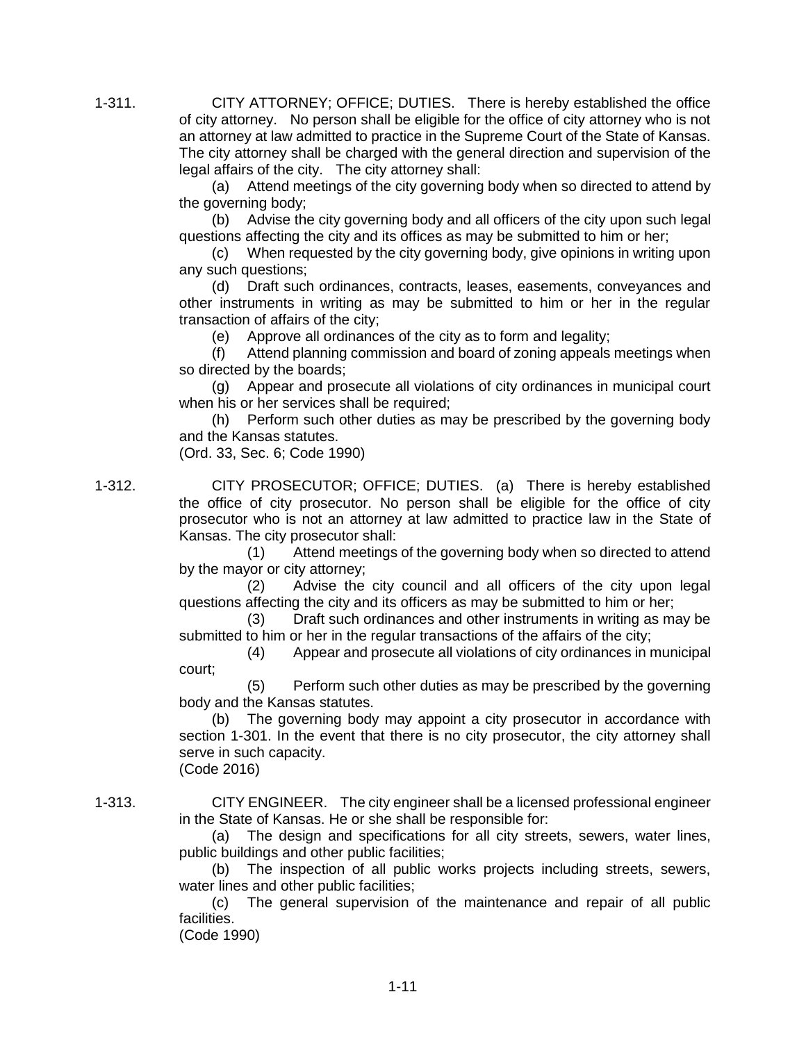1-311. CITY ATTORNEY; OFFICE; DUTIES. There is hereby established the office of city attorney. No person shall be eligible for the office of city attorney who is not an attorney at law admitted to practice in the Supreme Court of the State of Kansas. The city attorney shall be charged with the general direction and supervision of the legal affairs of the city. The city attorney shall:

> (a) Attend meetings of the city governing body when so directed to attend by the governing body;

> (b) Advise the city governing body and all officers of the city upon such legal questions affecting the city and its offices as may be submitted to him or her;

> (c) When requested by the city governing body, give opinions in writing upon any such questions;

> (d) Draft such ordinances, contracts, leases, easements, conveyances and other instruments in writing as may be submitted to him or her in the regular transaction of affairs of the city;

(e) Approve all ordinances of the city as to form and legality;

(f) Attend planning commission and board of zoning appeals meetings when so directed by the boards;

(g) Appear and prosecute all violations of city ordinances in municipal court when his or her services shall be required;

(h) Perform such other duties as may be prescribed by the governing body and the Kansas statutes.

(Ord. 33, Sec. 6; Code 1990)

1-312. CITY PROSECUTOR; OFFICE; DUTIES. (a) There is hereby established the office of city prosecutor. No person shall be eligible for the office of city prosecutor who is not an attorney at law admitted to practice law in the State of Kansas. The city prosecutor shall:

> (1) Attend meetings of the governing body when so directed to attend by the mayor or city attorney;

> (2) Advise the city council and all officers of the city upon legal questions affecting the city and its officers as may be submitted to him or her;

> (3) Draft such ordinances and other instruments in writing as may be submitted to him or her in the regular transactions of the affairs of the city;

> (4) Appear and prosecute all violations of city ordinances in municipal court;

> (5) Perform such other duties as may be prescribed by the governing body and the Kansas statutes.

> (b) The governing body may appoint a city prosecutor in accordance with section 1-301. In the event that there is no city prosecutor, the city attorney shall serve in such capacity.

(Code 2016)

1-313. CITY ENGINEER. The city engineer shall be a licensed professional engineer in the State of Kansas. He or she shall be responsible for:

> (a) The design and specifications for all city streets, sewers, water lines, public buildings and other public facilities;

> (b) The inspection of all public works projects including streets, sewers, water lines and other public facilities;

> (c) The general supervision of the maintenance and repair of all public facilities.

(Code 1990)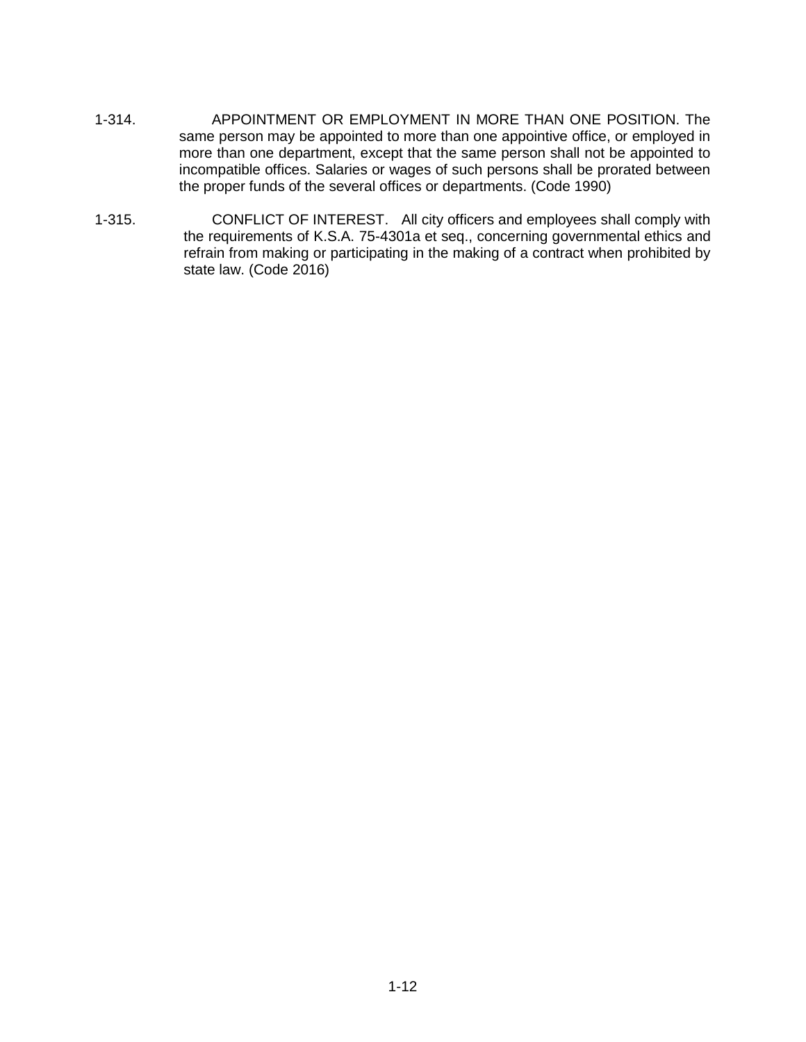- 1-314. APPOINTMENT OR EMPLOYMENT IN MORE THAN ONE POSITION. The same person may be appointed to more than one appointive office, or employed in more than one department, except that the same person shall not be appointed to incompatible offices. Salaries or wages of such persons shall be prorated between the proper funds of the several offices or departments. (Code 1990)
- 1-315. CONFLICT OF INTEREST. All city officers and employees shall comply with the requirements of K.S.A. 75-4301a et seq., concerning governmental ethics and refrain from making or participating in the making of a contract when prohibited by state law. (Code 2016)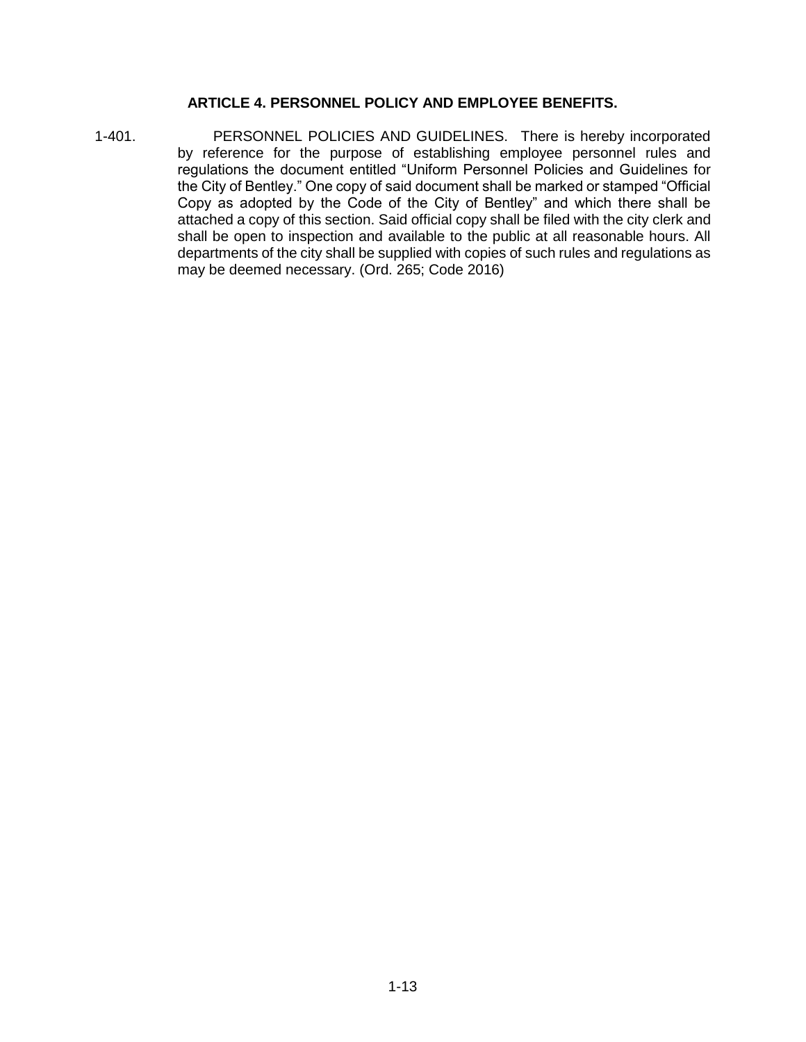# **ARTICLE 4. PERSONNEL POLICY AND EMPLOYEE BENEFITS.**

1-401. PERSONNEL POLICIES AND GUIDELINES. There is hereby incorporated by reference for the purpose of establishing employee personnel rules and regulations the document entitled "Uniform Personnel Policies and Guidelines for the City of Bentley." One copy of said document shall be marked or stamped "Official Copy as adopted by the Code of the City of Bentley" and which there shall be attached a copy of this section. Said official copy shall be filed with the city clerk and shall be open to inspection and available to the public at all reasonable hours. All departments of the city shall be supplied with copies of such rules and regulations as may be deemed necessary. (Ord. 265; Code 2016)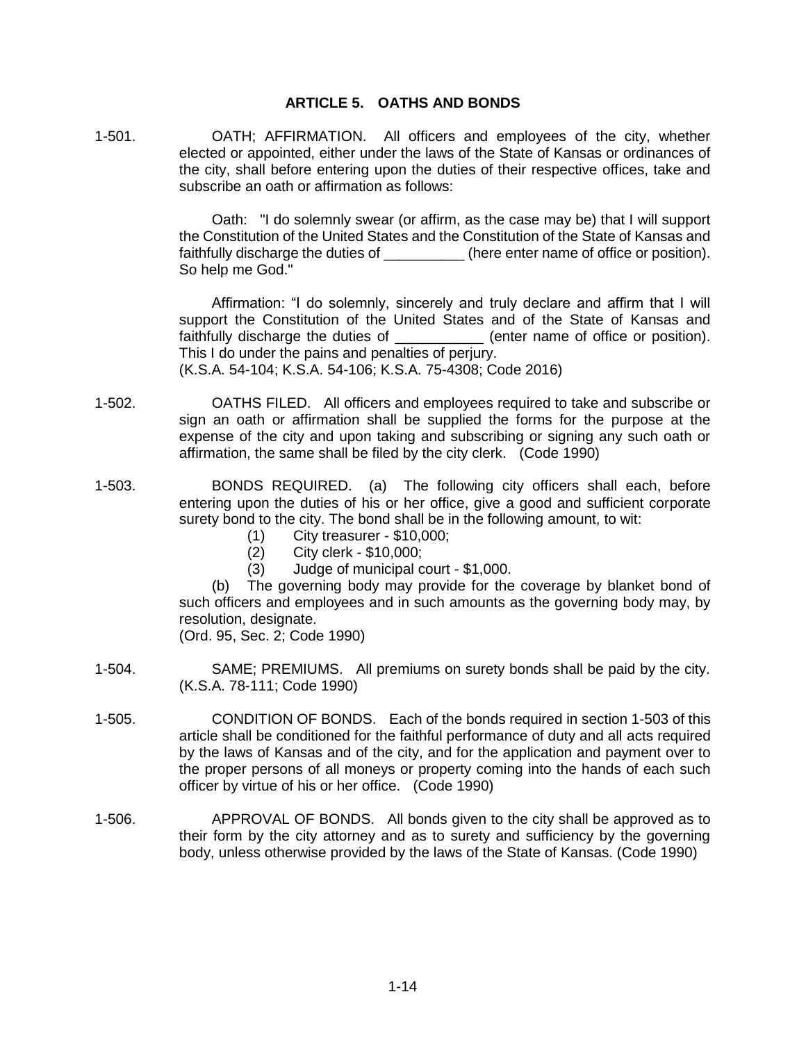#### **ARTICLE 5. OATHS AND BONDS**

1-501. OATH; AFFIRMATION. All officers and employees of the city, whether elected or appointed, either under the laws of the State of Kansas or ordinances of the city, shall before entering upon the duties of their respective offices, take and subscribe an oath or affirmation as follows:

> Oath: "I do solemnly swear (or affirm, as the case may be) that I will support the Constitution of the United States and the Constitution of the State of Kansas and faithfully discharge the duties of \_\_\_\_\_\_\_\_\_\_\_\_\_(here enter name of office or position). So help me God."

> Affirmation: "I do solemnly, sincerely and truly declare and affirm that I will support the Constitution of the United States and of the State of Kansas and faithfully discharge the duties of  $\qquad \qquad$  (enter name of office or position). This I do under the pains and penalties of perjury.

(K.S.A. 54-104; K.S.A. 54-106; K.S.A. 75-4308; Code 2016)

- 1-502. OATHS FILED. All officers and employees required to take and subscribe or sign an oath or affirmation shall be supplied the forms for the purpose at the expense of the city and upon taking and subscribing or signing any such oath or affirmation, the same shall be filed by the city clerk. (Code 1990)
- 1-503. BONDS REQUIRED. (a) The following city officers shall each, before entering upon the duties of his or her office, give a good and sufficient corporate surety bond to the city. The bond shall be in the following amount, to wit:
	- (1) City treasurer \$10,000;
	- (2) City clerk \$10,000;
	- (3) Judge of municipal court \$1,000.

(b) The governing body may provide for the coverage by blanket bond of such officers and employees and in such amounts as the governing body may, by resolution, designate.

(Ord. 95, Sec. 2; Code 1990)

- 1-504. SAME; PREMIUMS. All premiums on surety bonds shall be paid by the city. (K.S.A. 78-111; Code 1990)
- 1-505. CONDITION OF BONDS. Each of the bonds required in section 1-503 of this article shall be conditioned for the faithful performance of duty and all acts required by the laws of Kansas and of the city, and for the application and payment over to the proper persons of all moneys or property coming into the hands of each such officer by virtue of his or her office. (Code 1990)
- 1-506. APPROVAL OF BONDS. All bonds given to the city shall be approved as to their form by the city attorney and as to surety and sufficiency by the governing body, unless otherwise provided by the laws of the State of Kansas. (Code 1990)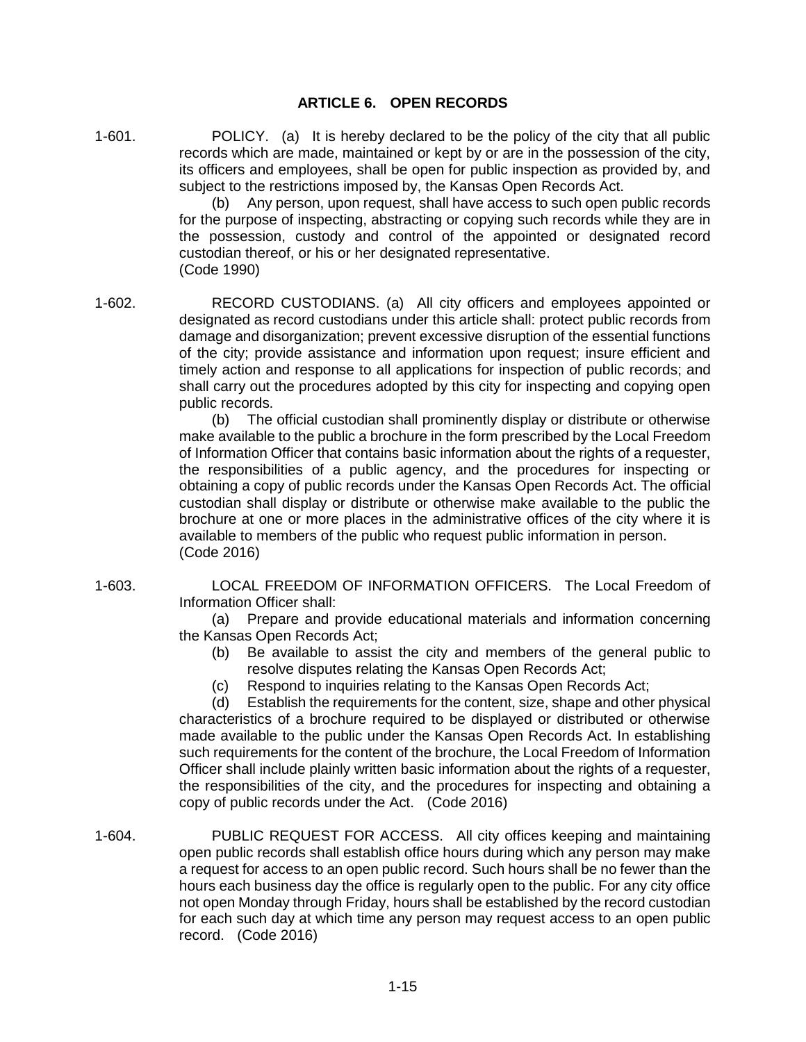# **ARTICLE 6. OPEN RECORDS**

1-601. POLICY. (a) It is hereby declared to be the policy of the city that all public records which are made, maintained or kept by or are in the possession of the city, its officers and employees, shall be open for public inspection as provided by, and subject to the restrictions imposed by, the Kansas Open Records Act.

(b) Any person, upon request, shall have access to such open public records for the purpose of inspecting, abstracting or copying such records while they are in the possession, custody and control of the appointed or designated record custodian thereof, or his or her designated representative. (Code 1990)

1-602. RECORD CUSTODIANS. (a) All city officers and employees appointed or designated as record custodians under this article shall: protect public records from damage and disorganization; prevent excessive disruption of the essential functions of the city; provide assistance and information upon request; insure efficient and timely action and response to all applications for inspection of public records; and shall carry out the procedures adopted by this city for inspecting and copying open public records.

(b) The official custodian shall prominently display or distribute or otherwise make available to the public a brochure in the form prescribed by the Local Freedom of Information Officer that contains basic information about the rights of a requester, the responsibilities of a public agency, and the procedures for inspecting or obtaining a copy of public records under the Kansas Open Records Act. The official custodian shall display or distribute or otherwise make available to the public the brochure at one or more places in the administrative offices of the city where it is available to members of the public who request public information in person. (Code 2016)

1-603. LOCAL FREEDOM OF INFORMATION OFFICERS. The Local Freedom of Information Officer shall:

> (a) Prepare and provide educational materials and information concerning the Kansas Open Records Act;

- (b) Be available to assist the city and members of the general public to resolve disputes relating the Kansas Open Records Act;
- (c) Respond to inquiries relating to the Kansas Open Records Act;

(d) Establish the requirements for the content, size, shape and other physical characteristics of a brochure required to be displayed or distributed or otherwise made available to the public under the Kansas Open Records Act. In establishing such requirements for the content of the brochure, the Local Freedom of Information Officer shall include plainly written basic information about the rights of a requester, the responsibilities of the city, and the procedures for inspecting and obtaining a copy of public records under the Act. (Code 2016)

1-604. PUBLIC REQUEST FOR ACCESS. All city offices keeping and maintaining open public records shall establish office hours during which any person may make a request for access to an open public record. Such hours shall be no fewer than the hours each business day the office is regularly open to the public. For any city office not open Monday through Friday, hours shall be established by the record custodian for each such day at which time any person may request access to an open public record. (Code 2016)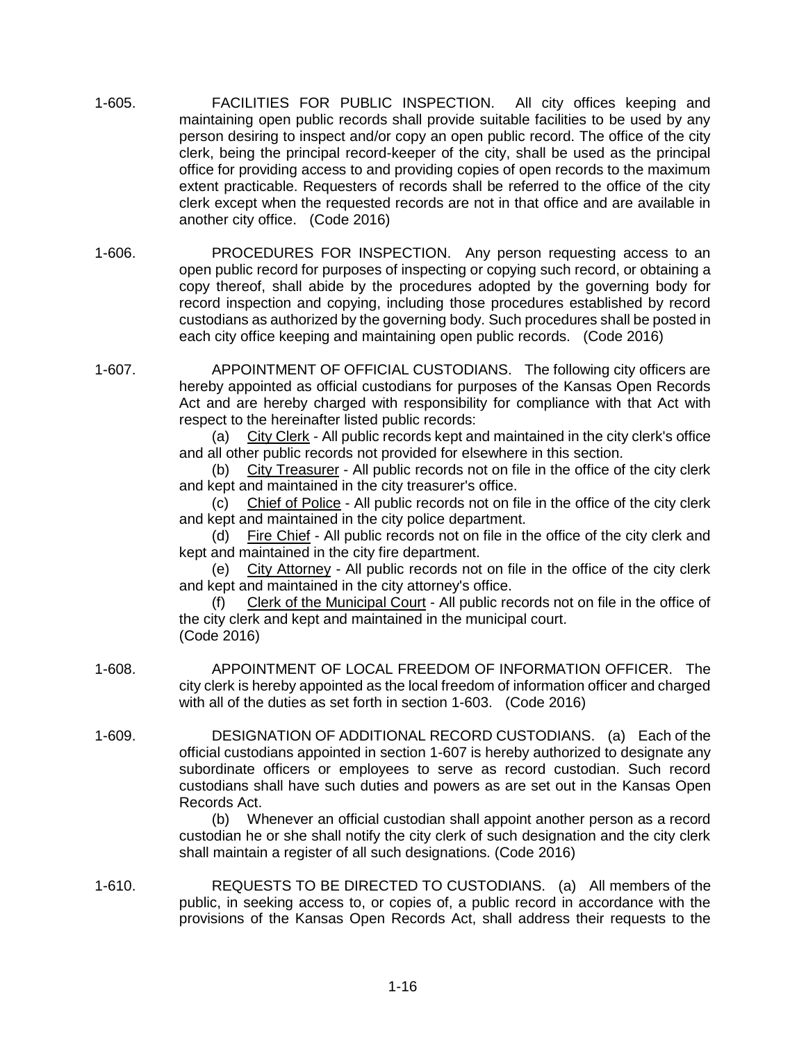- 1-605. FACILITIES FOR PUBLIC INSPECTION. All city offices keeping and maintaining open public records shall provide suitable facilities to be used by any person desiring to inspect and/or copy an open public record. The office of the city clerk, being the principal record-keeper of the city, shall be used as the principal office for providing access to and providing copies of open records to the maximum extent practicable. Requesters of records shall be referred to the office of the city clerk except when the requested records are not in that office and are available in another city office. (Code 2016)
- 1-606. PROCEDURES FOR INSPECTION. Any person requesting access to an open public record for purposes of inspecting or copying such record, or obtaining a copy thereof, shall abide by the procedures adopted by the governing body for record inspection and copying, including those procedures established by record custodians as authorized by the governing body. Such procedures shall be posted in each city office keeping and maintaining open public records. (Code 2016)
- 1-607. APPOINTMENT OF OFFICIAL CUSTODIANS. The following city officers are hereby appointed as official custodians for purposes of the Kansas Open Records Act and are hereby charged with responsibility for compliance with that Act with respect to the hereinafter listed public records:

(a) City Clerk - All public records kept and maintained in the city clerk's office and all other public records not provided for elsewhere in this section.

(b) City Treasurer - All public records not on file in the office of the city clerk and kept and maintained in the city treasurer's office.

(c) Chief of Police - All public records not on file in the office of the city clerk and kept and maintained in the city police department.

(d) Fire Chief - All public records not on file in the office of the city clerk and kept and maintained in the city fire department.

(e) City Attorney - All public records not on file in the office of the city clerk and kept and maintained in the city attorney's office.

(f) Clerk of the Municipal Court - All public records not on file in the office of the city clerk and kept and maintained in the municipal court. (Code 2016)

- 1-608. APPOINTMENT OF LOCAL FREEDOM OF INFORMATION OFFICER. The city clerk is hereby appointed as the local freedom of information officer and charged with all of the duties as set forth in section 1-603. (Code 2016)
- 1-609. DESIGNATION OF ADDITIONAL RECORD CUSTODIANS. (a) Each of the official custodians appointed in section 1-607 is hereby authorized to designate any subordinate officers or employees to serve as record custodian. Such record custodians shall have such duties and powers as are set out in the Kansas Open Records Act.

(b) Whenever an official custodian shall appoint another person as a record custodian he or she shall notify the city clerk of such designation and the city clerk shall maintain a register of all such designations. (Code 2016)

1-610. REQUESTS TO BE DIRECTED TO CUSTODIANS. (a) All members of the public, in seeking access to, or copies of, a public record in accordance with the provisions of the Kansas Open Records Act, shall address their requests to the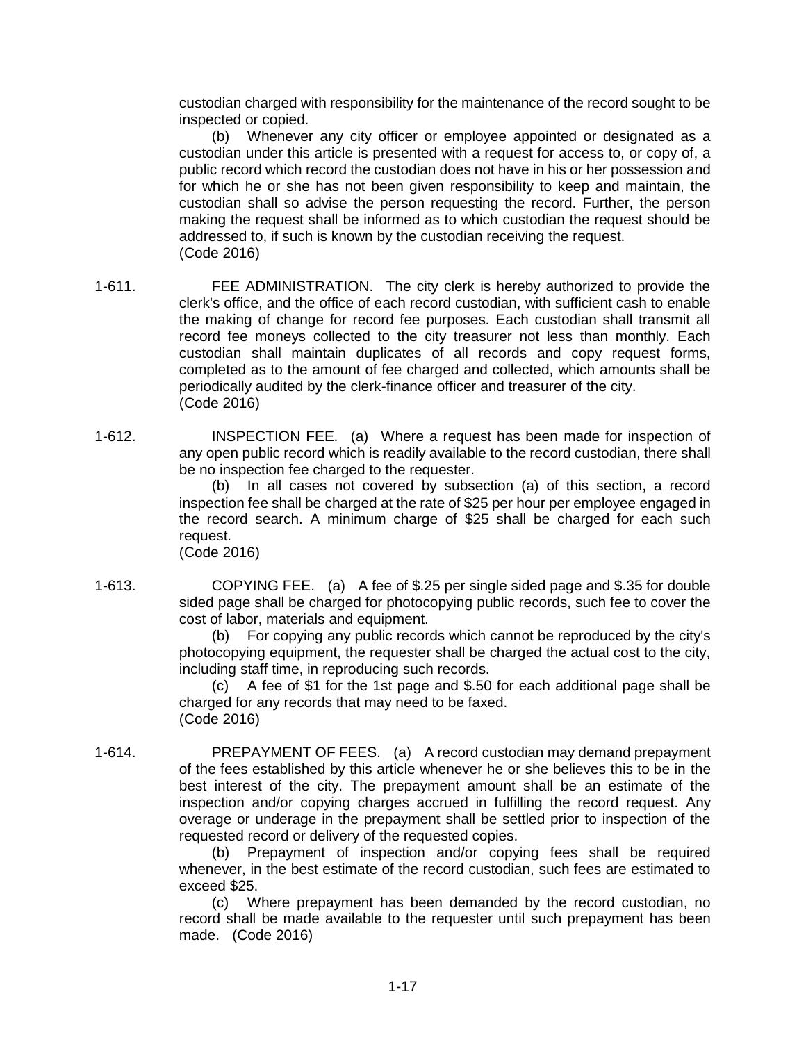custodian charged with responsibility for the maintenance of the record sought to be inspected or copied.

(b) Whenever any city officer or employee appointed or designated as a custodian under this article is presented with a request for access to, or copy of, a public record which record the custodian does not have in his or her possession and for which he or she has not been given responsibility to keep and maintain, the custodian shall so advise the person requesting the record. Further, the person making the request shall be informed as to which custodian the request should be addressed to, if such is known by the custodian receiving the request. (Code 2016)

- 1-611. FEE ADMINISTRATION. The city clerk is hereby authorized to provide the clerk's office, and the office of each record custodian, with sufficient cash to enable the making of change for record fee purposes. Each custodian shall transmit all record fee moneys collected to the city treasurer not less than monthly. Each custodian shall maintain duplicates of all records and copy request forms, completed as to the amount of fee charged and collected, which amounts shall be periodically audited by the clerk-finance officer and treasurer of the city. (Code 2016)
- 1-612. INSPECTION FEE. (a) Where a request has been made for inspection of any open public record which is readily available to the record custodian, there shall be no inspection fee charged to the requester.

(b) In all cases not covered by subsection (a) of this section, a record inspection fee shall be charged at the rate of \$25 per hour per employee engaged in the record search. A minimum charge of \$25 shall be charged for each such request.

(Code 2016)

1-613. COPYING FEE. (a) A fee of \$.25 per single sided page and \$.35 for double sided page shall be charged for photocopying public records, such fee to cover the cost of labor, materials and equipment.

(b) For copying any public records which cannot be reproduced by the city's photocopying equipment, the requester shall be charged the actual cost to the city, including staff time, in reproducing such records.

(c) A fee of \$1 for the 1st page and \$.50 for each additional page shall be charged for any records that may need to be faxed. (Code 2016)

1-614. PREPAYMENT OF FEES. (a) A record custodian may demand prepayment of the fees established by this article whenever he or she believes this to be in the best interest of the city. The prepayment amount shall be an estimate of the inspection and/or copying charges accrued in fulfilling the record request. Any overage or underage in the prepayment shall be settled prior to inspection of the requested record or delivery of the requested copies.

(b) Prepayment of inspection and/or copying fees shall be required whenever, in the best estimate of the record custodian, such fees are estimated to exceed \$25.

(c) Where prepayment has been demanded by the record custodian, no record shall be made available to the requester until such prepayment has been made. (Code 2016)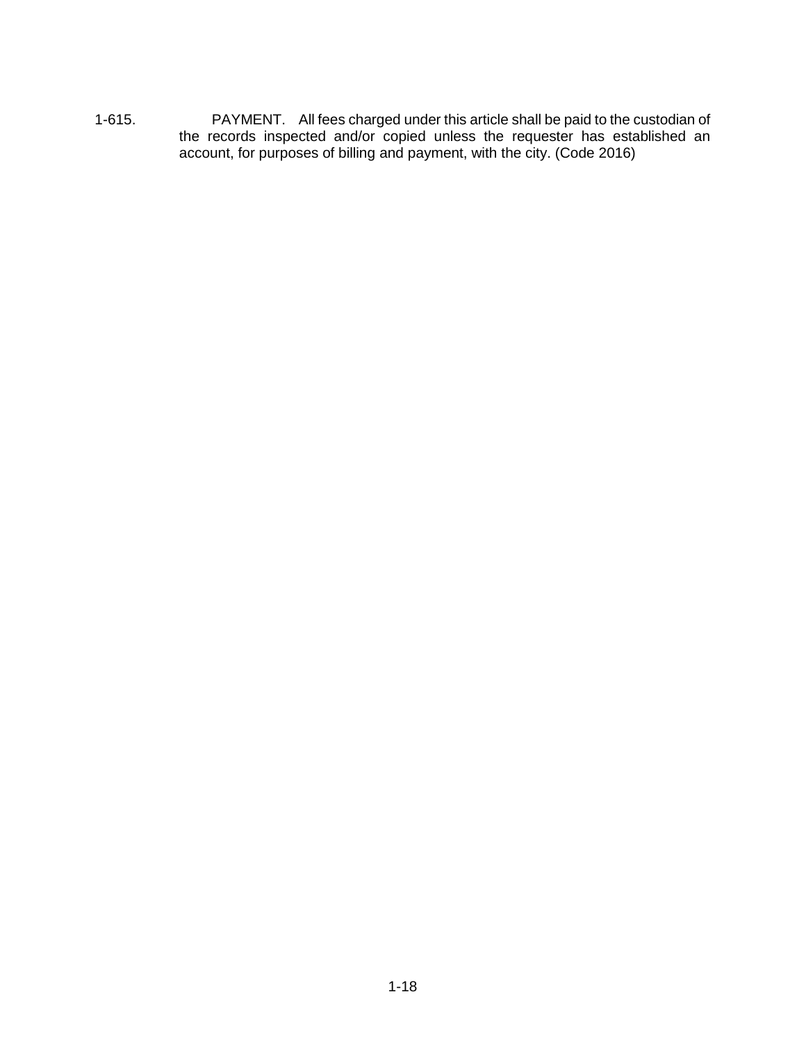1-615. PAYMENT. All fees charged under this article shall be paid to the custodian of the records inspected and/or copied unless the requester has established an account, for purposes of billing and payment, with the city. (Code 2016)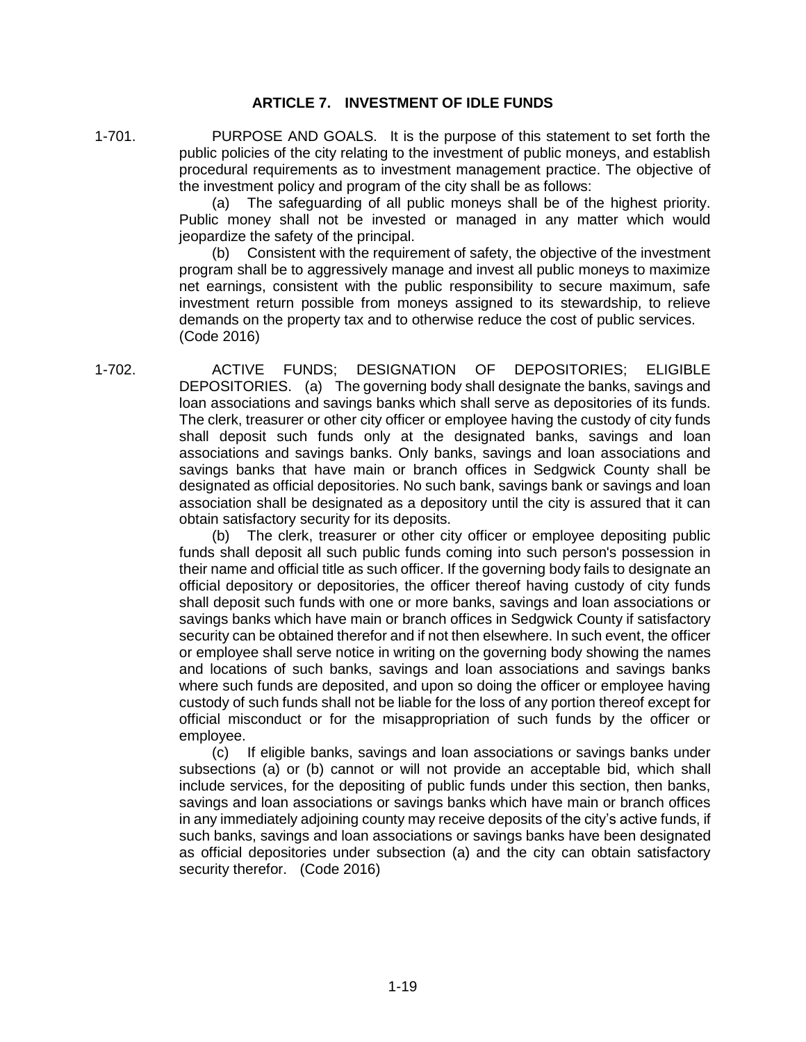## **ARTICLE 7. INVESTMENT OF IDLE FUNDS**

1-701. PURPOSE AND GOALS. It is the purpose of this statement to set forth the public policies of the city relating to the investment of public moneys, and establish procedural requirements as to investment management practice. The objective of the investment policy and program of the city shall be as follows:

> (a) The safeguarding of all public moneys shall be of the highest priority. Public money shall not be invested or managed in any matter which would jeopardize the safety of the principal.

> (b) Consistent with the requirement of safety, the objective of the investment program shall be to aggressively manage and invest all public moneys to maximize net earnings, consistent with the public responsibility to secure maximum, safe investment return possible from moneys assigned to its stewardship, to relieve demands on the property tax and to otherwise reduce the cost of public services. (Code 2016)

1-702. ACTIVE FUNDS; DESIGNATION OF DEPOSITORIES; ELIGIBLE DEPOSITORIES. (a) The governing body shall designate the banks, savings and loan associations and savings banks which shall serve as depositories of its funds. The clerk, treasurer or other city officer or employee having the custody of city funds shall deposit such funds only at the designated banks, savings and loan associations and savings banks. Only banks, savings and loan associations and savings banks that have main or branch offices in Sedgwick County shall be designated as official depositories. No such bank, savings bank or savings and loan association shall be designated as a depository until the city is assured that it can obtain satisfactory security for its deposits.

(b) The clerk, treasurer or other city officer or employee depositing public funds shall deposit all such public funds coming into such person's possession in their name and official title as such officer. If the governing body fails to designate an official depository or depositories, the officer thereof having custody of city funds shall deposit such funds with one or more banks, savings and loan associations or savings banks which have main or branch offices in Sedgwick County if satisfactory security can be obtained therefor and if not then elsewhere. In such event, the officer or employee shall serve notice in writing on the governing body showing the names and locations of such banks, savings and loan associations and savings banks where such funds are deposited, and upon so doing the officer or employee having custody of such funds shall not be liable for the loss of any portion thereof except for official misconduct or for the misappropriation of such funds by the officer or employee.

(c) If eligible banks, savings and loan associations or savings banks under subsections (a) or (b) cannot or will not provide an acceptable bid, which shall include services, for the depositing of public funds under this section, then banks, savings and loan associations or savings banks which have main or branch offices in any immediately adjoining county may receive deposits of the city's active funds, if such banks, savings and loan associations or savings banks have been designated as official depositories under subsection (a) and the city can obtain satisfactory security therefor. (Code 2016)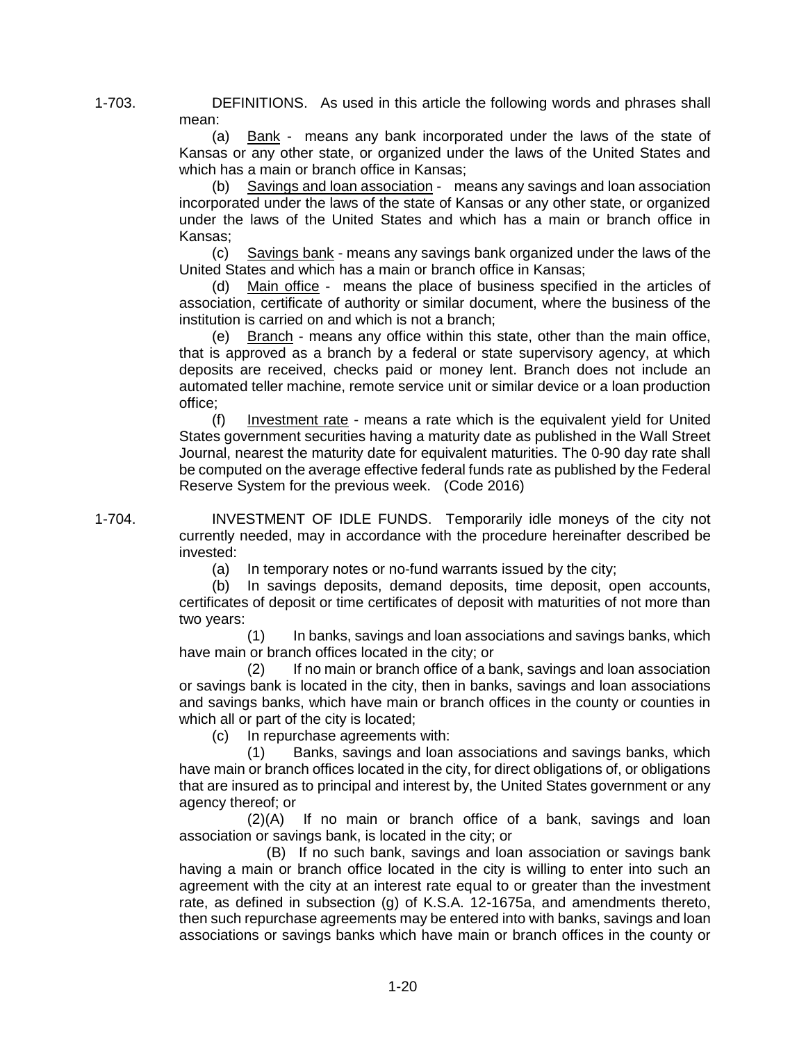1-703. DEFINITIONS. As used in this article the following words and phrases shall mean:

> (a) Bank - means any bank incorporated under the laws of the state of Kansas or any other state, or organized under the laws of the United States and which has a main or branch office in Kansas:

> Savings and loan association - means any savings and loan association incorporated under the laws of the state of Kansas or any other state, or organized under the laws of the United States and which has a main or branch office in Kansas;

> (c) Savings bank - means any savings bank organized under the laws of the United States and which has a main or branch office in Kansas;

> (d) Main office - means the place of business specified in the articles of association, certificate of authority or similar document, where the business of the institution is carried on and which is not a branch;

> (e) Branch - means any office within this state, other than the main office, that is approved as a branch by a federal or state supervisory agency, at which deposits are received, checks paid or money lent. Branch does not include an automated teller machine, remote service unit or similar device or a loan production office;

> (f) Investment rate - means a rate which is the equivalent yield for United States government securities having a maturity date as published in the Wall Street Journal, nearest the maturity date for equivalent maturities. The 0-90 day rate shall be computed on the average effective federal funds rate as published by the Federal Reserve System for the previous week. (Code 2016)

1-704. INVESTMENT OF IDLE FUNDS. Temporarily idle moneys of the city not currently needed, may in accordance with the procedure hereinafter described be invested:

(a) In temporary notes or no-fund warrants issued by the city;

(b) In savings deposits, demand deposits, time deposit, open accounts, certificates of deposit or time certificates of deposit with maturities of not more than two years:

(1) In banks, savings and loan associations and savings banks, which have main or branch offices located in the city; or

(2) If no main or branch office of a bank, savings and loan association or savings bank is located in the city, then in banks, savings and loan associations and savings banks, which have main or branch offices in the county or counties in which all or part of the city is located;

(c) In repurchase agreements with:

(1) Banks, savings and loan associations and savings banks, which have main or branch offices located in the city, for direct obligations of, or obligations that are insured as to principal and interest by, the United States government or any agency thereof; or

(2)(A) If no main or branch office of a bank, savings and loan association or savings bank, is located in the city; or

(B) If no such bank, savings and loan association or savings bank having a main or branch office located in the city is willing to enter into such an agreement with the city at an interest rate equal to or greater than the investment rate, as defined in subsection (g) of K.S.A. 12-1675a, and amendments thereto, then such repurchase agreements may be entered into with banks, savings and loan associations or savings banks which have main or branch offices in the county or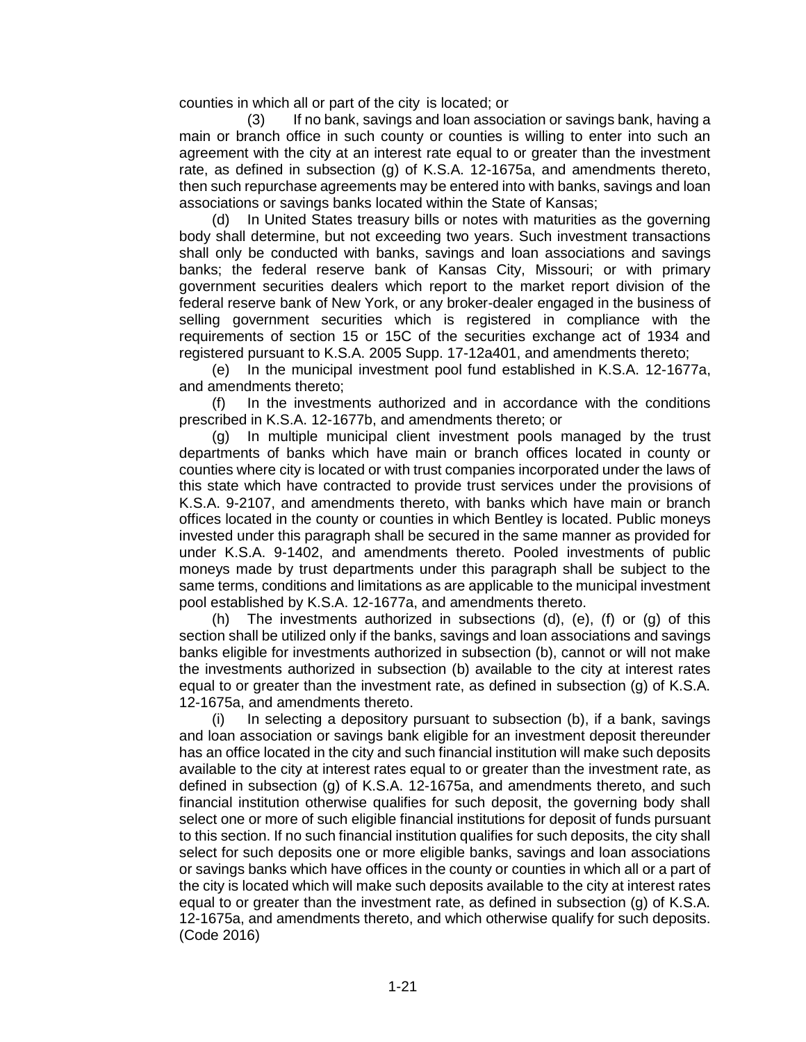counties in which all or part of the city is located; or

(3) If no bank, savings and loan association or savings bank, having a main or branch office in such county or counties is willing to enter into such an agreement with the city at an interest rate equal to or greater than the investment rate, as defined in subsection (g) of K.S.A. 12-1675a, and amendments thereto, then such repurchase agreements may be entered into with banks, savings and loan associations or savings banks located within the State of Kansas;

(d) In United States treasury bills or notes with maturities as the governing body shall determine, but not exceeding two years. Such investment transactions shall only be conducted with banks, savings and loan associations and savings banks; the federal reserve bank of Kansas City, Missouri; or with primary government securities dealers which report to the market report division of the federal reserve bank of New York, or any broker-dealer engaged in the business of selling government securities which is registered in compliance with the requirements of section 15 or 15C of the securities exchange act of 1934 and registered pursuant to K.S.A. 2005 Supp. 17-12a401, and amendments thereto;

(e) In the municipal investment pool fund established in K.S.A. 12-1677a, and amendments thereto;

(f) In the investments authorized and in accordance with the conditions prescribed in K.S.A. 12-1677b, and amendments thereto; or

(g) In multiple municipal client investment pools managed by the trust departments of banks which have main or branch offices located in county or counties where city is located or with trust companies incorporated under the laws of this state which have contracted to provide trust services under the provisions of K.S.A. 9-2107, and amendments thereto, with banks which have main or branch offices located in the county or counties in which Bentley is located. Public moneys invested under this paragraph shall be secured in the same manner as provided for under K.S.A. 9-1402, and amendments thereto. Pooled investments of public moneys made by trust departments under this paragraph shall be subject to the same terms, conditions and limitations as are applicable to the municipal investment pool established by K.S.A. 12-1677a, and amendments thereto.

(h) The investments authorized in subsections (d), (e), (f) or (g) of this section shall be utilized only if the banks, savings and loan associations and savings banks eligible for investments authorized in subsection (b), cannot or will not make the investments authorized in subsection (b) available to the city at interest rates equal to or greater than the investment rate, as defined in subsection (g) of K.S.A. 12-1675a, and amendments thereto.

(i) In selecting a depository pursuant to subsection (b), if a bank, savings and loan association or savings bank eligible for an investment deposit thereunder has an office located in the city and such financial institution will make such deposits available to the city at interest rates equal to or greater than the investment rate, as defined in subsection (g) of K.S.A. 12-1675a, and amendments thereto, and such financial institution otherwise qualifies for such deposit, the governing body shall select one or more of such eligible financial institutions for deposit of funds pursuant to this section. If no such financial institution qualifies for such deposits, the city shall select for such deposits one or more eligible banks, savings and loan associations or savings banks which have offices in the county or counties in which all or a part of the city is located which will make such deposits available to the city at interest rates equal to or greater than the investment rate, as defined in subsection (g) of K.S.A. 12-1675a, and amendments thereto, and which otherwise qualify for such deposits. (Code 2016)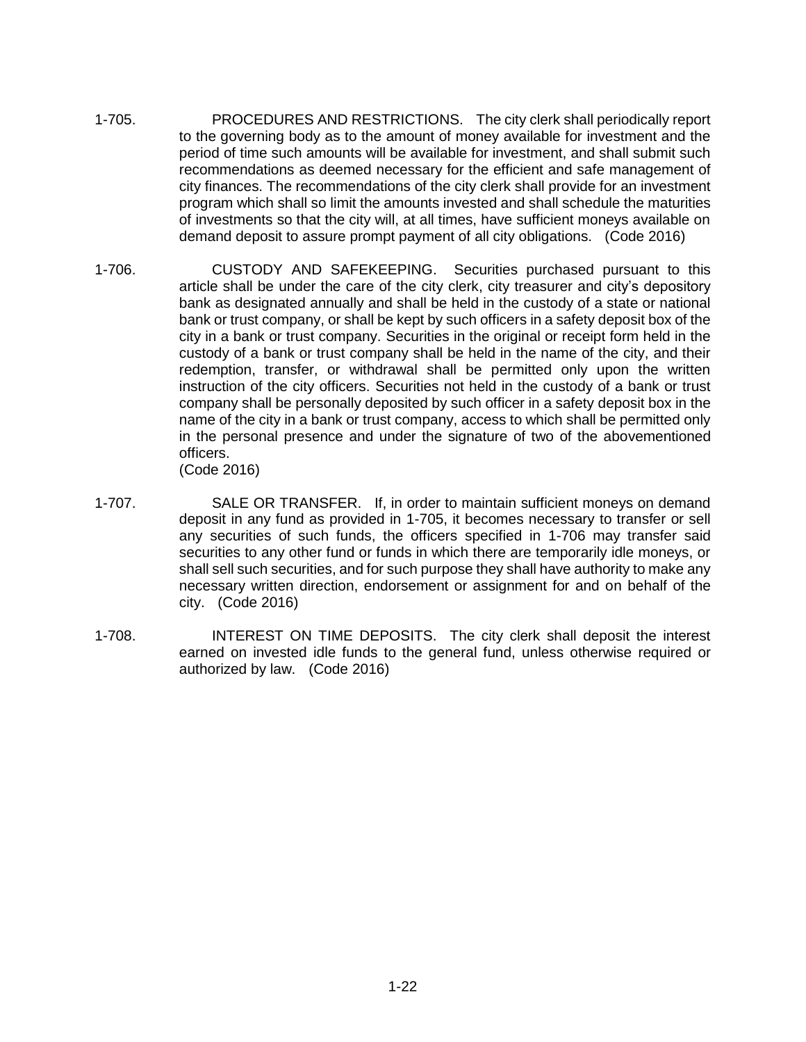- 1-705. PROCEDURES AND RESTRICTIONS. The city clerk shall periodically report to the governing body as to the amount of money available for investment and the period of time such amounts will be available for investment, and shall submit such recommendations as deemed necessary for the efficient and safe management of city finances. The recommendations of the city clerk shall provide for an investment program which shall so limit the amounts invested and shall schedule the maturities of investments so that the city will, at all times, have sufficient moneys available on demand deposit to assure prompt payment of all city obligations. (Code 2016)
- 1-706. CUSTODY AND SAFEKEEPING. Securities purchased pursuant to this article shall be under the care of the city clerk, city treasurer and city's depository bank as designated annually and shall be held in the custody of a state or national bank or trust company, or shall be kept by such officers in a safety deposit box of the city in a bank or trust company. Securities in the original or receipt form held in the custody of a bank or trust company shall be held in the name of the city, and their redemption, transfer, or withdrawal shall be permitted only upon the written instruction of the city officers. Securities not held in the custody of a bank or trust company shall be personally deposited by such officer in a safety deposit box in the name of the city in a bank or trust company, access to which shall be permitted only in the personal presence and under the signature of two of the abovementioned officers. (Code 2016)
- 1-707. SALE OR TRANSFER. If, in order to maintain sufficient moneys on demand deposit in any fund as provided in 1-705, it becomes necessary to transfer or sell any securities of such funds, the officers specified in 1-706 may transfer said securities to any other fund or funds in which there are temporarily idle moneys, or shall sell such securities, and for such purpose they shall have authority to make any necessary written direction, endorsement or assignment for and on behalf of the city. (Code 2016)
- 1-708. INTEREST ON TIME DEPOSITS. The city clerk shall deposit the interest earned on invested idle funds to the general fund, unless otherwise required or authorized by law. (Code 2016)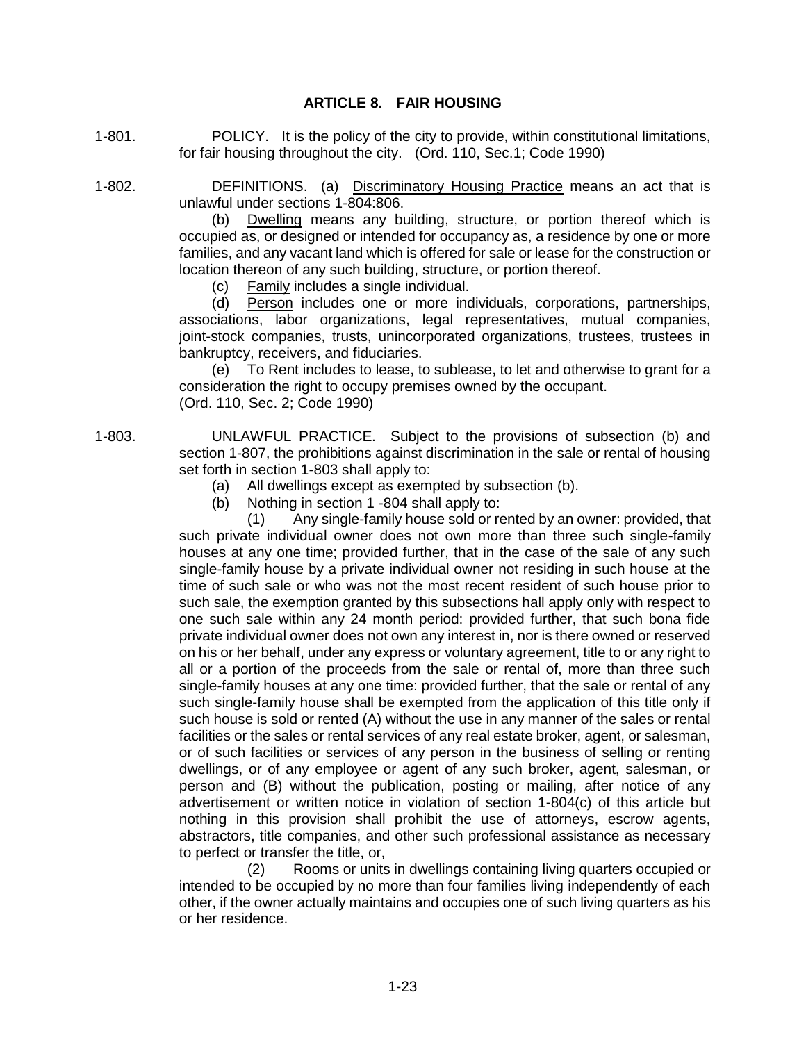# **ARTICLE 8. FAIR HOUSING**

1-801. POLICY. It is the policy of the city to provide, within constitutional limitations, for fair housing throughout the city. (Ord. 110, Sec.1; Code 1990)

1-802. DEFINITIONS. (a) Discriminatory Housing Practice means an act that is unlawful under sections 1-804:806.

> (b) Dwelling means any building, structure, or portion thereof which is occupied as, or designed or intended for occupancy as, a residence by one or more families, and any vacant land which is offered for sale or lease for the construction or location thereon of any such building, structure, or portion thereof.

(c) Family includes a single individual.

(d) Person includes one or more individuals, corporations, partnerships, associations, labor organizations, legal representatives, mutual companies, joint-stock companies, trusts, unincorporated organizations, trustees, trustees in bankruptcy, receivers, and fiduciaries.

(e) To Rent includes to lease, to sublease, to let and otherwise to grant for a consideration the right to occupy premises owned by the occupant. (Ord. 110, Sec. 2; Code 1990)

1-803. UNLAWFUL PRACTICE. Subject to the provisions of subsection (b) and section 1-807, the prohibitions against discrimination in the sale or rental of housing set forth in section 1-803 shall apply to:

- (a) All dwellings except as exempted by subsection (b).
- (b) Nothing in section 1 -804 shall apply to:

(1) Any single-family house sold or rented by an owner: provided, that such private individual owner does not own more than three such single-family houses at any one time; provided further, that in the case of the sale of any such single-family house by a private individual owner not residing in such house at the time of such sale or who was not the most recent resident of such house prior to such sale, the exemption granted by this subsections hall apply only with respect to one such sale within any 24 month period: provided further, that such bona fide private individual owner does not own any interest in, nor is there owned or reserved on his or her behalf, under any express or voluntary agreement, title to or any right to all or a portion of the proceeds from the sale or rental of, more than three such single-family houses at any one time: provided further, that the sale or rental of any such single-family house shall be exempted from the application of this title only if such house is sold or rented (A) without the use in any manner of the sales or rental facilities or the sales or rental services of any real estate broker, agent, or salesman, or of such facilities or services of any person in the business of selling or renting dwellings, or of any employee or agent of any such broker, agent, salesman, or person and (B) without the publication, posting or mailing, after notice of any advertisement or written notice in violation of section 1-804(c) of this article but nothing in this provision shall prohibit the use of attorneys, escrow agents, abstractors, title companies, and other such professional assistance as necessary to perfect or transfer the title, or,

(2) Rooms or units in dwellings containing living quarters occupied or intended to be occupied by no more than four families living independently of each other, if the owner actually maintains and occupies one of such living quarters as his or her residence.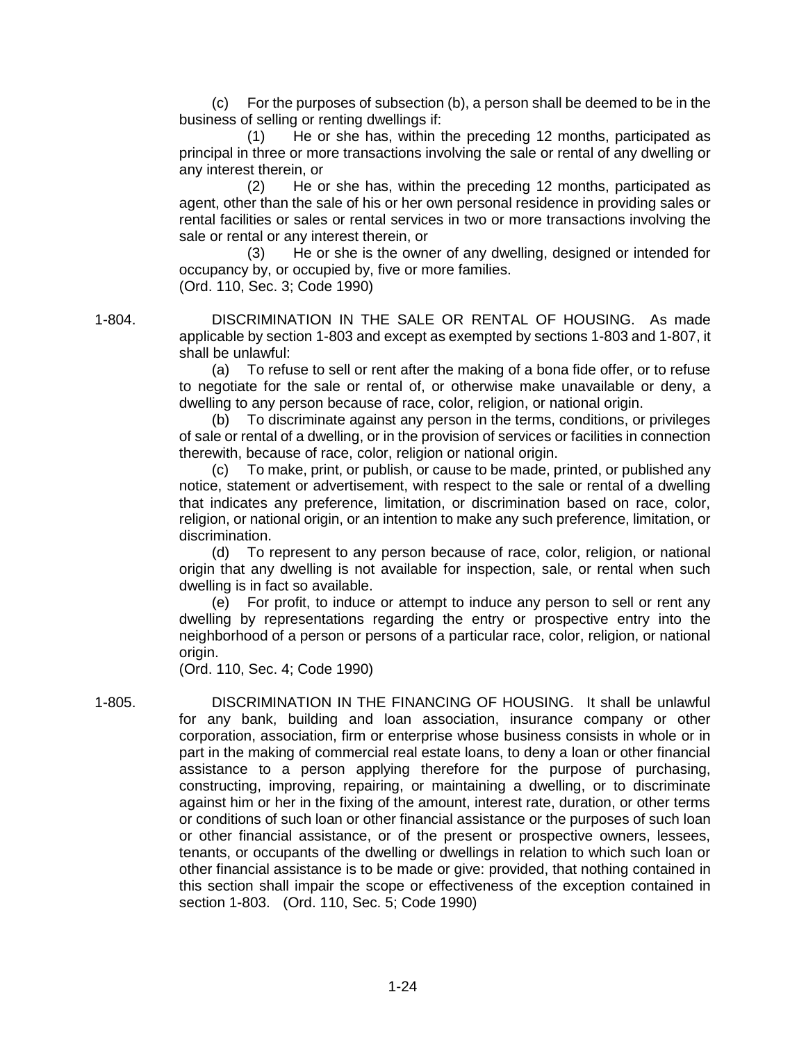(c) For the purposes of subsection (b), a person shall be deemed to be in the business of selling or renting dwellings if:

(1) He or she has, within the preceding 12 months, participated as principal in three or more transactions involving the sale or rental of any dwelling or any interest therein, or

(2) He or she has, within the preceding 12 months, participated as agent, other than the sale of his or her own personal residence in providing sales or rental facilities or sales or rental services in two or more transactions involving the sale or rental or any interest therein, or

(3) He or she is the owner of any dwelling, designed or intended for occupancy by, or occupied by, five or more families. (Ord. 110, Sec. 3; Code 1990)

1-804. DISCRIMINATION IN THE SALE OR RENTAL OF HOUSING. As made applicable by section 1-803 and except as exempted by sections 1-803 and 1-807, it shall be unlawful:

> (a) To refuse to sell or rent after the making of a bona fide offer, or to refuse to negotiate for the sale or rental of, or otherwise make unavailable or deny, a dwelling to any person because of race, color, religion, or national origin.

> (b) To discriminate against any person in the terms, conditions, or privileges of sale or rental of a dwelling, or in the provision of services or facilities in connection therewith, because of race, color, religion or national origin.

> (c) To make, print, or publish, or cause to be made, printed, or published any notice, statement or advertisement, with respect to the sale or rental of a dwelling that indicates any preference, limitation, or discrimination based on race, color, religion, or national origin, or an intention to make any such preference, limitation, or discrimination.

> (d) To represent to any person because of race, color, religion, or national origin that any dwelling is not available for inspection, sale, or rental when such dwelling is in fact so available.

> (e) For profit, to induce or attempt to induce any person to sell or rent any dwelling by representations regarding the entry or prospective entry into the neighborhood of a person or persons of a particular race, color, religion, or national origin.

(Ord. 110, Sec. 4; Code 1990)

1-805. DISCRIMINATION IN THE FINANCING OF HOUSING. It shall be unlawful for any bank, building and loan association, insurance company or other corporation, association, firm or enterprise whose business consists in whole or in part in the making of commercial real estate loans, to deny a loan or other financial assistance to a person applying therefore for the purpose of purchasing, constructing, improving, repairing, or maintaining a dwelling, or to discriminate against him or her in the fixing of the amount, interest rate, duration, or other terms or conditions of such loan or other financial assistance or the purposes of such loan or other financial assistance, or of the present or prospective owners, lessees, tenants, or occupants of the dwelling or dwellings in relation to which such loan or other financial assistance is to be made or give: provided, that nothing contained in this section shall impair the scope or effectiveness of the exception contained in section 1-803. (Ord. 110, Sec. 5; Code 1990)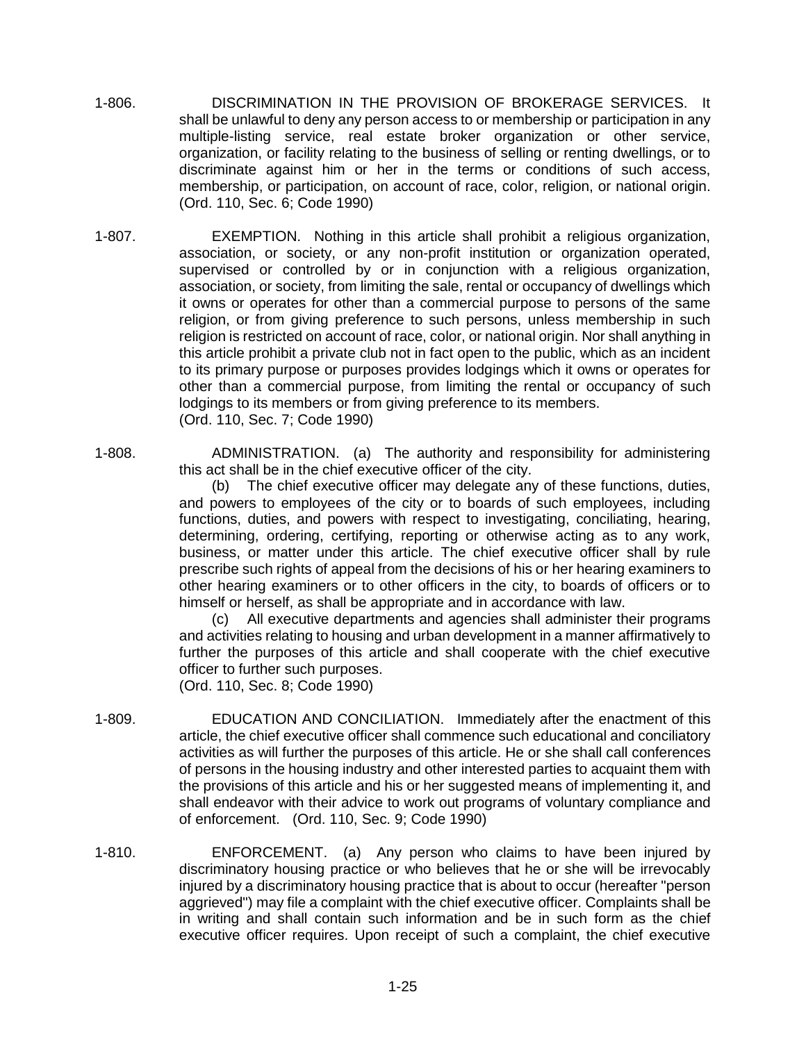- 1-806. DISCRIMINATION IN THE PROVISION OF BROKERAGE SERVICES. It shall be unlawful to deny any person access to or membership or participation in any multiple-listing service, real estate broker organization or other service, organization, or facility relating to the business of selling or renting dwellings, or to discriminate against him or her in the terms or conditions of such access, membership, or participation, on account of race, color, religion, or national origin. (Ord. 110, Sec. 6; Code 1990)
- 1-807. EXEMPTION. Nothing in this article shall prohibit a religious organization, association, or society, or any non-profit institution or organization operated, supervised or controlled by or in conjunction with a religious organization, association, or society, from limiting the sale, rental or occupancy of dwellings which it owns or operates for other than a commercial purpose to persons of the same religion, or from giving preference to such persons, unless membership in such religion is restricted on account of race, color, or national origin. Nor shall anything in this article prohibit a private club not in fact open to the public, which as an incident to its primary purpose or purposes provides lodgings which it owns or operates for other than a commercial purpose, from limiting the rental or occupancy of such lodgings to its members or from giving preference to its members. (Ord. 110, Sec. 7; Code 1990)
- 

1-808. ADMINISTRATION. (a) The authority and responsibility for administering this act shall be in the chief executive officer of the city.

> (b) The chief executive officer may delegate any of these functions, duties, and powers to employees of the city or to boards of such employees, including functions, duties, and powers with respect to investigating, conciliating, hearing, determining, ordering, certifying, reporting or otherwise acting as to any work, business, or matter under this article. The chief executive officer shall by rule prescribe such rights of appeal from the decisions of his or her hearing examiners to other hearing examiners or to other officers in the city, to boards of officers or to himself or herself, as shall be appropriate and in accordance with law.

> (c) All executive departments and agencies shall administer their programs and activities relating to housing and urban development in a manner affirmatively to further the purposes of this article and shall cooperate with the chief executive officer to further such purposes. (Ord. 110, Sec. 8; Code 1990)

- 1-809. EDUCATION AND CONCILIATION. Immediately after the enactment of this article, the chief executive officer shall commence such educational and conciliatory activities as will further the purposes of this article. He or she shall call conferences of persons in the housing industry and other interested parties to acquaint them with the provisions of this article and his or her suggested means of implementing it, and shall endeavor with their advice to work out programs of voluntary compliance and of enforcement. (Ord. 110, Sec. 9; Code 1990)
- 1-810. ENFORCEMENT. (a) Any person who claims to have been injured by discriminatory housing practice or who believes that he or she will be irrevocably injured by a discriminatory housing practice that is about to occur (hereafter "person aggrieved") may file a complaint with the chief executive officer. Complaints shall be in writing and shall contain such information and be in such form as the chief executive officer requires. Upon receipt of such a complaint, the chief executive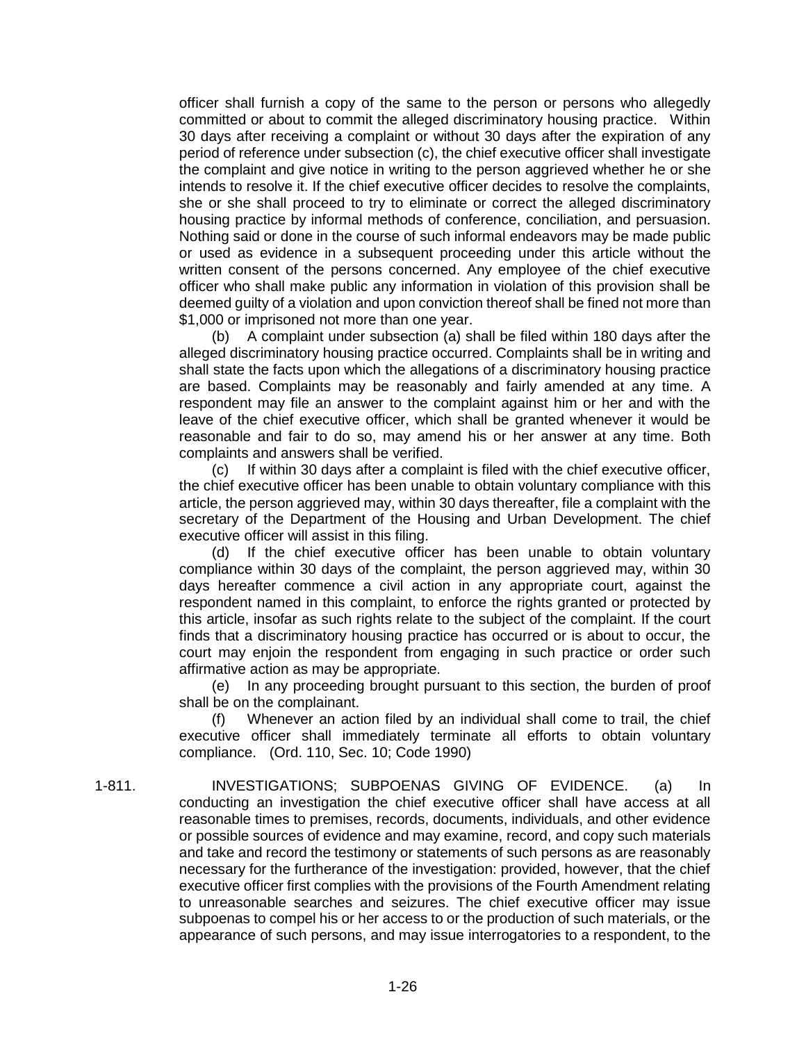officer shall furnish a copy of the same to the person or persons who allegedly committed or about to commit the alleged discriminatory housing practice. Within 30 days after receiving a complaint or without 30 days after the expiration of any period of reference under subsection (c), the chief executive officer shall investigate the complaint and give notice in writing to the person aggrieved whether he or she intends to resolve it. If the chief executive officer decides to resolve the complaints, she or she shall proceed to try to eliminate or correct the alleged discriminatory housing practice by informal methods of conference, conciliation, and persuasion. Nothing said or done in the course of such informal endeavors may be made public or used as evidence in a subsequent proceeding under this article without the written consent of the persons concerned. Any employee of the chief executive officer who shall make public any information in violation of this provision shall be deemed guilty of a violation and upon conviction thereof shall be fined not more than \$1,000 or imprisoned not more than one year.

(b) A complaint under subsection (a) shall be filed within 180 days after the alleged discriminatory housing practice occurred. Complaints shall be in writing and shall state the facts upon which the allegations of a discriminatory housing practice are based. Complaints may be reasonably and fairly amended at any time. A respondent may file an answer to the complaint against him or her and with the leave of the chief executive officer, which shall be granted whenever it would be reasonable and fair to do so, may amend his or her answer at any time. Both complaints and answers shall be verified.

(c) If within 30 days after a complaint is filed with the chief executive officer, the chief executive officer has been unable to obtain voluntary compliance with this article, the person aggrieved may, within 30 days thereafter, file a complaint with the secretary of the Department of the Housing and Urban Development. The chief executive officer will assist in this filing.

(d) If the chief executive officer has been unable to obtain voluntary compliance within 30 days of the complaint, the person aggrieved may, within 30 days hereafter commence a civil action in any appropriate court, against the respondent named in this complaint, to enforce the rights granted or protected by this article, insofar as such rights relate to the subject of the complaint. If the court finds that a discriminatory housing practice has occurred or is about to occur, the court may enjoin the respondent from engaging in such practice or order such affirmative action as may be appropriate.

(e) In any proceeding brought pursuant to this section, the burden of proof shall be on the complainant.

(f) Whenever an action filed by an individual shall come to trail, the chief executive officer shall immediately terminate all efforts to obtain voluntary compliance. (Ord. 110, Sec. 10; Code 1990)

1-811. INVESTIGATIONS; SUBPOENAS GIVING OF EVIDENCE. (a) In conducting an investigation the chief executive officer shall have access at all reasonable times to premises, records, documents, individuals, and other evidence or possible sources of evidence and may examine, record, and copy such materials and take and record the testimony or statements of such persons as are reasonably necessary for the furtherance of the investigation: provided, however, that the chief executive officer first complies with the provisions of the Fourth Amendment relating to unreasonable searches and seizures. The chief executive officer may issue subpoenas to compel his or her access to or the production of such materials, or the appearance of such persons, and may issue interrogatories to a respondent, to the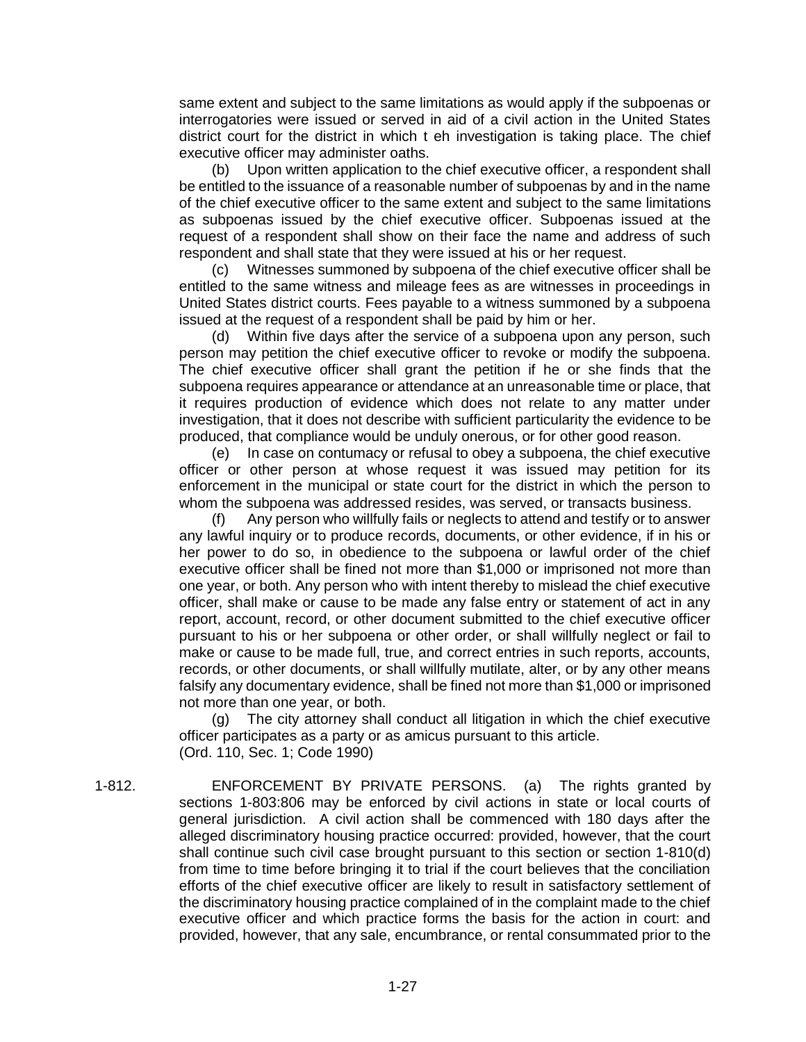same extent and subject to the same limitations as would apply if the subpoenas or interrogatories were issued or served in aid of a civil action in the United States district court for the district in which t eh investigation is taking place. The chief executive officer may administer oaths.

(b) Upon written application to the chief executive officer, a respondent shall be entitled to the issuance of a reasonable number of subpoenas by and in the name of the chief executive officer to the same extent and subject to the same limitations as subpoenas issued by the chief executive officer. Subpoenas issued at the request of a respondent shall show on their face the name and address of such respondent and shall state that they were issued at his or her request.

(c) Witnesses summoned by subpoena of the chief executive officer shall be entitled to the same witness and mileage fees as are witnesses in proceedings in United States district courts. Fees payable to a witness summoned by a subpoena issued at the request of a respondent shall be paid by him or her.

(d) Within five days after the service of a subpoena upon any person, such person may petition the chief executive officer to revoke or modify the subpoena. The chief executive officer shall grant the petition if he or she finds that the subpoena requires appearance or attendance at an unreasonable time or place, that it requires production of evidence which does not relate to any matter under investigation, that it does not describe with sufficient particularity the evidence to be produced, that compliance would be unduly onerous, or for other good reason.

(e) In case on contumacy or refusal to obey a subpoena, the chief executive officer or other person at whose request it was issued may petition for its enforcement in the municipal or state court for the district in which the person to whom the subpoena was addressed resides, was served, or transacts business.

(f) Any person who willfully fails or neglects to attend and testify or to answer any lawful inquiry or to produce records, documents, or other evidence, if in his or her power to do so, in obedience to the subpoena or lawful order of the chief executive officer shall be fined not more than \$1,000 or imprisoned not more than one year, or both. Any person who with intent thereby to mislead the chief executive officer, shall make or cause to be made any false entry or statement of act in any report, account, record, or other document submitted to the chief executive officer pursuant to his or her subpoena or other order, or shall willfully neglect or fail to make or cause to be made full, true, and correct entries in such reports, accounts, records, or other documents, or shall willfully mutilate, alter, or by any other means falsify any documentary evidence, shall be fined not more than \$1,000 or imprisoned not more than one year, or both.

(g) The city attorney shall conduct all litigation in which the chief executive officer participates as a party or as amicus pursuant to this article. (Ord. 110, Sec. 1; Code 1990)

1-812. ENFORCEMENT BY PRIVATE PERSONS. (a) The rights granted by sections 1-803:806 may be enforced by civil actions in state or local courts of general jurisdiction. A civil action shall be commenced with 180 days after the alleged discriminatory housing practice occurred: provided, however, that the court shall continue such civil case brought pursuant to this section or section 1-810(d) from time to time before bringing it to trial if the court believes that the conciliation efforts of the chief executive officer are likely to result in satisfactory settlement of the discriminatory housing practice complained of in the complaint made to the chief executive officer and which practice forms the basis for the action in court: and provided, however, that any sale, encumbrance, or rental consummated prior to the